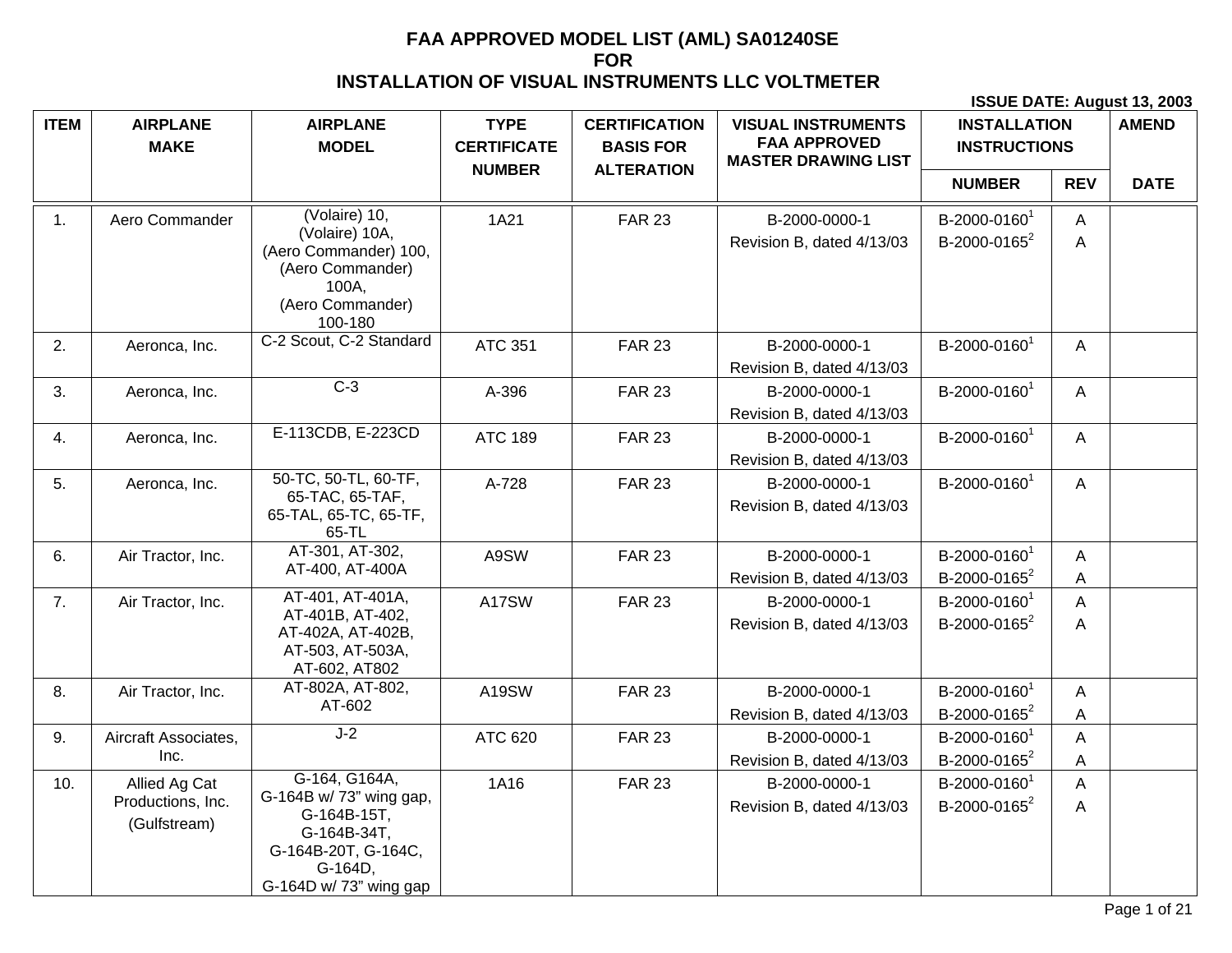| <b>ITEM</b> | <b>AIRPLANE</b><br><b>MAKE</b>                     | <b>AIRPLANE</b><br><b>MODEL</b>                                                                          | <b>TYPE</b><br><b>CERTIFICATE</b> | <b>CERTIFICATION</b><br><b>BASIS FOR</b> | <b>VISUAL INSTRUMENTS</b><br><b>FAA APPROVED</b><br><b>MASTER DRAWING LIST</b> | <b>INSTALLATION</b><br><b>INSTRUCTIONS</b>           |              | <b>AMEND</b> |
|-------------|----------------------------------------------------|----------------------------------------------------------------------------------------------------------|-----------------------------------|------------------------------------------|--------------------------------------------------------------------------------|------------------------------------------------------|--------------|--------------|
|             |                                                    |                                                                                                          | <b>NUMBER</b>                     | <b>ALTERATION</b>                        |                                                                                | <b>NUMBER</b>                                        | <b>REV</b>   | <b>DATE</b>  |
| 1.          | Aero Commander                                     | (Volaire) 10,<br>(Volaire) 10A,                                                                          | 1A21                              | <b>FAR 23</b>                            | B-2000-0000-1                                                                  | B-2000-0160 <sup>1</sup>                             | A            |              |
|             |                                                    | (Aero Commander) 100,<br>(Aero Commander)<br>100A,<br>(Aero Commander)<br>100-180                        |                                   |                                          | Revision B, dated 4/13/03                                                      | B-2000-0165 <sup>2</sup>                             | A            |              |
| 2.          | Aeronca, Inc.                                      | C-2 Scout, C-2 Standard                                                                                  | <b>ATC 351</b>                    | <b>FAR 23</b>                            | B-2000-0000-1                                                                  | B-2000-0160 <sup>1</sup>                             | A            |              |
|             |                                                    |                                                                                                          |                                   |                                          | Revision B, dated 4/13/03                                                      |                                                      |              |              |
| 3.          | Aeronca, Inc.                                      | $C-3$                                                                                                    | A-396                             | <b>FAR 23</b>                            | B-2000-0000-1<br>Revision B, dated 4/13/03                                     | B-2000-0160 <sup>1</sup>                             | A            |              |
| 4.          | Aeronca, Inc.                                      | E-113CDB, E-223CD                                                                                        | <b>ATC 189</b>                    | <b>FAR 23</b>                            | B-2000-0000-1                                                                  | B-2000-0160 <sup>1</sup>                             | A            |              |
|             |                                                    |                                                                                                          |                                   |                                          | Revision B, dated 4/13/03                                                      |                                                      |              |              |
| 5.          | Aeronca, Inc.                                      | 50-TC, 50-TL, 60-TF,<br>65-TAC, 65-TAF,<br>65-TAL, 65-TC, 65-TF,<br>65-TL                                | A-728                             | <b>FAR 23</b>                            | B-2000-0000-1<br>Revision B, dated 4/13/03                                     | B-2000-0160 <sup>1</sup>                             | $\mathsf{A}$ |              |
| 6.          | Air Tractor, Inc.                                  | AT-301, AT-302,<br>AT-400, AT-400A                                                                       | A9SW                              | <b>FAR 23</b>                            | B-2000-0000-1                                                                  | B-2000-0160 <sup>1</sup>                             | A            |              |
|             |                                                    |                                                                                                          |                                   |                                          | Revision B, dated 4/13/03                                                      | B-2000-0165 <sup>2</sup>                             | Α            |              |
| 7.          | Air Tractor, Inc.                                  | AT-401, AT-401A,<br>AT-401B, AT-402,                                                                     | A17SW                             | <b>FAR 23</b>                            | B-2000-0000-1                                                                  | B-2000-0160 <sup>1</sup>                             | A            |              |
|             |                                                    | AT-402A, AT-402B,<br>AT-503, AT-503A,<br>AT-602, AT802                                                   |                                   |                                          | Revision B, dated 4/13/03                                                      | B-2000-0165 <sup>2</sup>                             | A            |              |
| 8.          | Air Tractor, Inc.                                  | AT-802A, AT-802,<br>AT-602                                                                               | A19SW                             | <b>FAR 23</b>                            | B-2000-0000-1                                                                  | B-2000-0160 <sup>1</sup>                             | A            |              |
|             |                                                    |                                                                                                          |                                   |                                          | Revision B, dated 4/13/03                                                      | B-2000-0165 <sup>2</sup>                             | A            |              |
| 9.          | Aircraft Associates,                               | $J-2$                                                                                                    | ATC 620                           | <b>FAR 23</b>                            | B-2000-0000-1                                                                  | B-2000-0160 <sup>1</sup>                             | A            |              |
|             | Inc.                                               |                                                                                                          |                                   |                                          | Revision B, dated 4/13/03                                                      | B-2000-0165 <sup>2</sup>                             | A            |              |
| 10.         | Allied Ag Cat<br>Productions, Inc.<br>(Gulfstream) | G-164, G164A,<br>G-164B w/ 73" wing gap,<br>G-164B-15T,<br>G-164B-34T,<br>G-164B-20T, G-164C,<br>G-164D, | 1A16                              | <b>FAR 23</b>                            | B-2000-0000-1<br>Revision B, dated 4/13/03                                     | B-2000-0160 <sup>1</sup><br>B-2000-0165 <sup>2</sup> | A<br>A       |              |
|             |                                                    | G-164D w/ 73" wing gap                                                                                   |                                   |                                          |                                                                                |                                                      |              |              |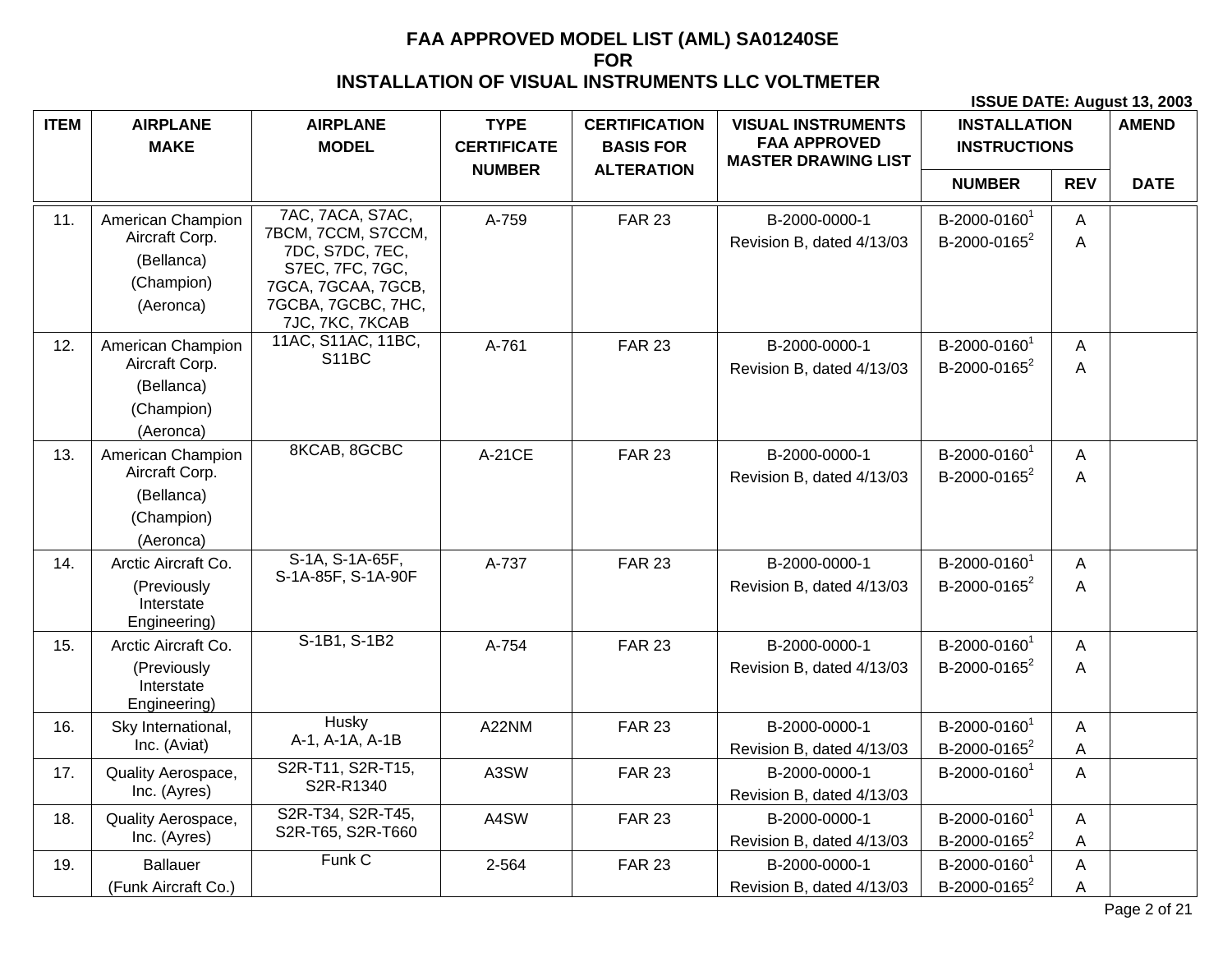| <b>ITEM</b> | <b>AIRPLANE</b><br><b>MAKE</b>                                               | <b>AIRPLANE</b><br><b>MODEL</b>                                                                                                             | <b>TYPE</b><br><b>CERTIFICATE</b> | <b>CERTIFICATION</b><br><b>BASIS FOR</b> | <b>VISUAL INSTRUMENTS</b><br><b>FAA APPROVED</b><br><b>MASTER DRAWING LIST</b> | <b>INSTALLATION</b><br><b>INSTRUCTIONS</b>           |            | <b>AMEND</b> |
|-------------|------------------------------------------------------------------------------|---------------------------------------------------------------------------------------------------------------------------------------------|-----------------------------------|------------------------------------------|--------------------------------------------------------------------------------|------------------------------------------------------|------------|--------------|
|             |                                                                              |                                                                                                                                             | <b>NUMBER</b>                     | <b>ALTERATION</b>                        |                                                                                | <b>NUMBER</b>                                        | <b>REV</b> | <b>DATE</b>  |
| 11.         | American Champion<br>Aircraft Corp.<br>(Bellanca)<br>(Champion)<br>(Aeronca) | 7AC, 7ACA, S7AC,<br>7BCM, 7CCM, S7CCM,<br>7DC, S7DC, 7EC,<br>S7EC, 7FC, 7GC,<br>7GCA, 7GCAA, 7GCB,<br>7GCBA, 7GCBC, 7HC,<br>7JC, 7KC, 7KCAB | A-759                             | <b>FAR 23</b>                            | B-2000-0000-1<br>Revision B, dated 4/13/03                                     | B-2000-0160 <sup>1</sup><br>B-2000-0165 <sup>2</sup> | A<br>A     |              |
| 12.         | American Champion<br>Aircraft Corp.<br>(Bellanca)<br>(Champion)<br>(Aeronca) | 11AC, S11AC, 11BC,<br>S11BC                                                                                                                 | A-761                             | <b>FAR 23</b>                            | B-2000-0000-1<br>Revision B, dated 4/13/03                                     | B-2000-0160 <sup>1</sup><br>B-2000-0165 <sup>2</sup> | A<br>A     |              |
| 13.         | American Champion<br>Aircraft Corp.<br>(Bellanca)<br>(Champion)<br>(Aeronca) | 8KCAB, 8GCBC                                                                                                                                | A-21CE                            | <b>FAR 23</b>                            | B-2000-0000-1<br>Revision B, dated 4/13/03                                     | B-2000-0160 <sup>1</sup><br>B-2000-0165 <sup>2</sup> | A<br>A     |              |
| 14.         | Arctic Aircraft Co.<br>(Previously<br>Interstate<br>Engineering)             | S-1A, S-1A-65F,<br>S-1A-85F, S-1A-90F                                                                                                       | A-737                             | <b>FAR 23</b>                            | B-2000-0000-1<br>Revision B, dated 4/13/03                                     | B-2000-0160 <sup>1</sup><br>B-2000-0165 <sup>2</sup> | A<br>A     |              |
| 15.         | Arctic Aircraft Co.<br>(Previously<br>Interstate<br>Engineering)             | S-1B1, S-1B2                                                                                                                                | A-754                             | <b>FAR 23</b>                            | B-2000-0000-1<br>Revision B, dated 4/13/03                                     | B-2000-0160 <sup>1</sup><br>B-2000-0165 <sup>2</sup> | A<br>A     |              |
| 16.         | Sky International,<br>Inc. (Aviat)                                           | <b>Husky</b><br>A-1, A-1A, A-1B                                                                                                             | A22NM                             | <b>FAR 23</b>                            | B-2000-0000-1<br>Revision B, dated 4/13/03                                     | B-2000-0160 <sup>1</sup><br>B-2000-0165 <sup>2</sup> | A<br>Α     |              |
| 17.         | Quality Aerospace,<br>Inc. (Ayres)                                           | S2R-T11, S2R-T15,<br>S2R-R1340                                                                                                              | A3SW                              | <b>FAR 23</b>                            | B-2000-0000-1<br>Revision B, dated 4/13/03                                     | B-2000-0160 <sup>1</sup>                             | A          |              |
| 18.         | Quality Aerospace,<br>Inc. (Ayres)                                           | S2R-T34, S2R-T45,<br>S2R-T65, S2R-T660                                                                                                      | A4SW                              | <b>FAR 23</b>                            | B-2000-0000-1<br>Revision B, dated 4/13/03                                     | B-2000-0160 <sup>1</sup><br>B-2000-0165 <sup>2</sup> | A<br>Α     |              |
| 19.         | <b>Ballauer</b><br>(Funk Aircraft Co.)                                       | Funk C                                                                                                                                      | 2-564                             | <b>FAR 23</b>                            | B-2000-0000-1<br>Revision B, dated 4/13/03                                     | B-2000-0160 <sup>1</sup><br>B-2000-0165 <sup>2</sup> | A<br>A     |              |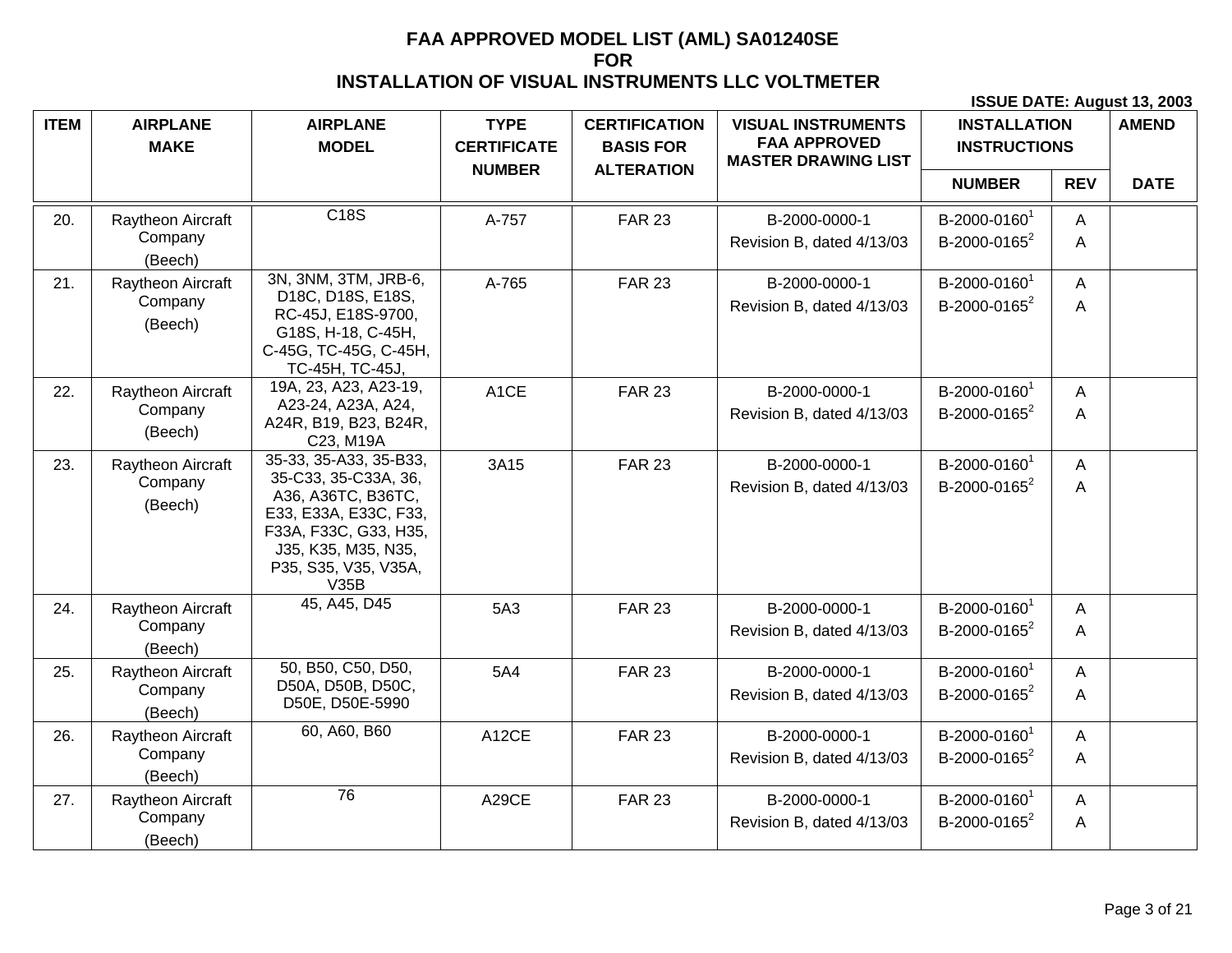| <b>ITEM</b> | <b>AIRPLANE</b><br><b>MAKE</b> | <b>AIRPLANE</b><br><b>MODEL</b>                                                                                                                     | <b>TYPE</b><br><b>CERTIFICATE</b> | <b>CERTIFICATION</b><br><b>BASIS FOR</b> | <b>VISUAL INSTRUMENTS</b><br><b>FAA APPROVED</b><br><b>MASTER DRAWING LIST</b> | <b>INSTALLATION</b><br><b>INSTRUCTIONS</b> |            | <b>AMEND</b> |
|-------------|--------------------------------|-----------------------------------------------------------------------------------------------------------------------------------------------------|-----------------------------------|------------------------------------------|--------------------------------------------------------------------------------|--------------------------------------------|------------|--------------|
|             |                                |                                                                                                                                                     | <b>NUMBER</b>                     | <b>ALTERATION</b>                        |                                                                                | <b>NUMBER</b>                              | <b>REV</b> | <b>DATE</b>  |
| 20.         | Raytheon Aircraft              | C18S                                                                                                                                                | A-757                             | <b>FAR 23</b>                            | B-2000-0000-1                                                                  | B-2000-0160 <sup>1</sup>                   | A          |              |
|             | Company<br>(Beech)             |                                                                                                                                                     |                                   |                                          | Revision B, dated 4/13/03                                                      | B-2000-0165 <sup>2</sup>                   | A          |              |
| 21.         | Raytheon Aircraft              | 3N, 3NM, 3TM, JRB-6,<br>D18C, D18S, E18S,                                                                                                           | A-765                             | <b>FAR 23</b>                            | B-2000-0000-1                                                                  | B-2000-0160 <sup>1</sup>                   | A          |              |
|             | Company<br>(Beech)             | RC-45J, E18S-9700,<br>G18S, H-18, C-45H,<br>C-45G, TC-45G, C-45H,<br>TC-45H, TC-45J,                                                                |                                   |                                          | Revision B, dated 4/13/03                                                      | B-2000-0165 <sup>2</sup>                   | A          |              |
| 22.         | Raytheon Aircraft              | 19A, 23, A23, A23-19,                                                                                                                               | A <sub>1</sub> CE                 | <b>FAR 23</b>                            | B-2000-0000-1                                                                  | B-2000-0160 <sup>1</sup>                   | A          |              |
|             | Company<br>(Beech)             | A23-24, A23A, A24,<br>A24R, B19, B23, B24R,<br>C23, M19A                                                                                            |                                   |                                          | Revision B, dated 4/13/03                                                      | B-2000-0165 <sup>2</sup>                   | Α          |              |
| 23.         | Raytheon Aircraft              | 35-33, 35-A33, 35-B33,                                                                                                                              | 3A15                              | <b>FAR 23</b>                            | B-2000-0000-1                                                                  | B-2000-0160 <sup>1</sup>                   | A          |              |
|             | Company<br>(Beech)             | 35-C33, 35-C33A, 36,<br>A36, A36TC, B36TC,<br>E33, E33A, E33C, F33,<br>F33A, F33C, G33, H35,<br>J35, K35, M35, N35,<br>P35, S35, V35, V35A,<br>V35B |                                   |                                          | Revision B, dated 4/13/03                                                      | B-2000-0165 <sup>2</sup>                   | A          |              |
| 24.         | Raytheon Aircraft              | 45, A45, D45                                                                                                                                        | 5A3                               | <b>FAR 23</b>                            | B-2000-0000-1                                                                  | B-2000-0160 <sup>1</sup>                   | A          |              |
|             | Company<br>(Beech)             |                                                                                                                                                     |                                   |                                          | Revision B, dated 4/13/03                                                      | B-2000-0165 <sup>2</sup>                   | Α          |              |
| 25.         | Raytheon Aircraft              | 50, B50, C50, D50,<br>D50A, D50B, D50C,                                                                                                             | 5A4                               | <b>FAR 23</b>                            | B-2000-0000-1                                                                  | B-2000-0160 <sup>1</sup>                   | A          |              |
|             | Company<br>(Beech)             | D50E, D50E-5990                                                                                                                                     |                                   |                                          | Revision B, dated 4/13/03                                                      | B-2000-0165 <sup>2</sup>                   | A          |              |
| 26.         | Raytheon Aircraft              | 60, A60, B60                                                                                                                                        | A12CE                             | <b>FAR 23</b>                            | B-2000-0000-1                                                                  | B-2000-0160 <sup>1</sup>                   | A          |              |
|             | Company<br>(Beech)             |                                                                                                                                                     |                                   |                                          | Revision B, dated 4/13/03                                                      | B-2000-0165 <sup>2</sup>                   | A          |              |
| 27.         | Raytheon Aircraft              | 76                                                                                                                                                  | A29CE                             | <b>FAR 23</b>                            | B-2000-0000-1                                                                  | B-2000-0160 <sup>1</sup>                   | A          |              |
|             | Company<br>(Beech)             |                                                                                                                                                     |                                   |                                          | Revision B, dated 4/13/03                                                      | B-2000-0165 <sup>2</sup>                   | A          |              |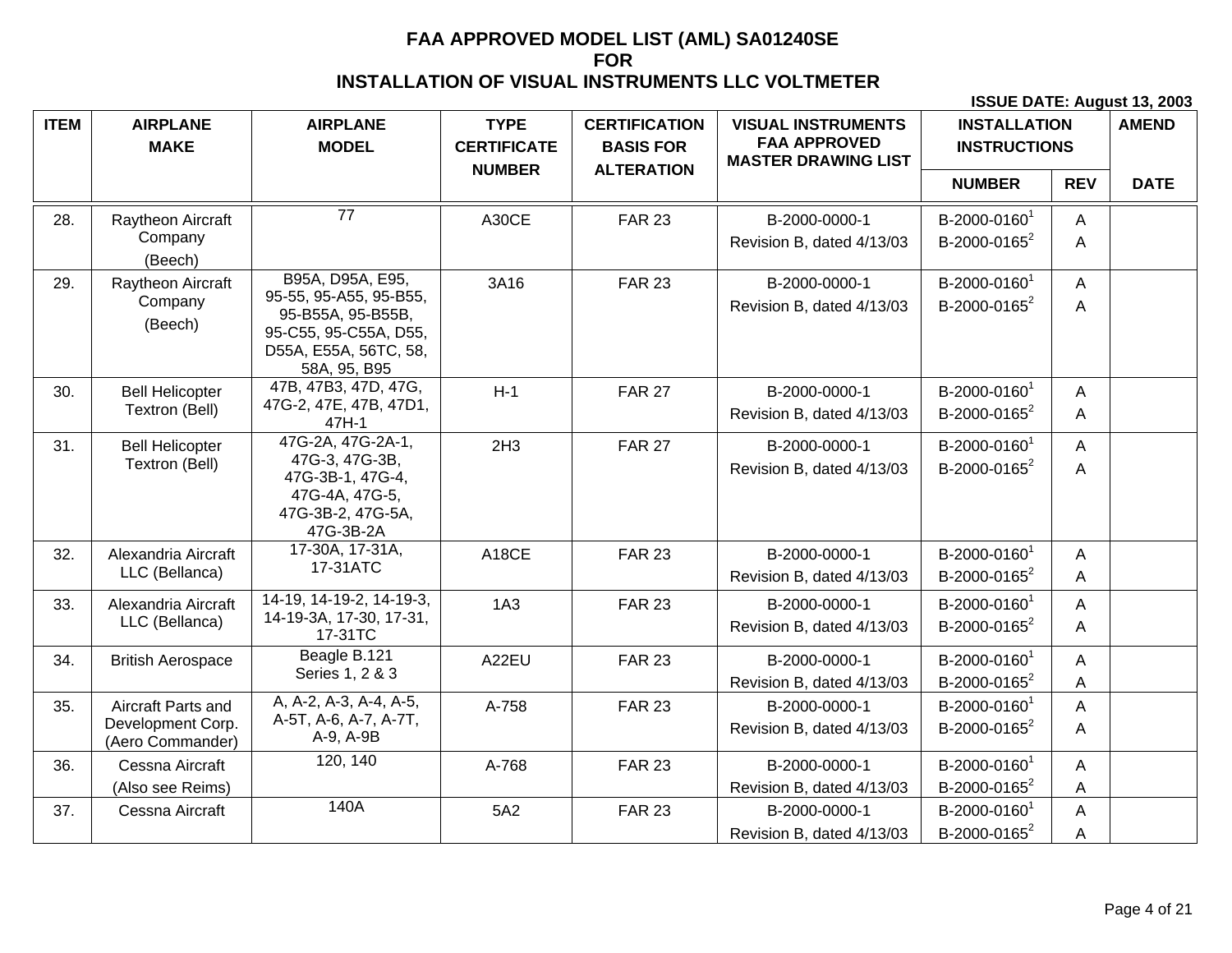| <b>ITEM</b> | <b>AIRPLANE</b>                       | <b>AIRPLANE</b>                             | <b>TYPE</b>                         | <b>CERTIFICATION</b>                  | <b>VISUAL INSTRUMENTS</b><br><b>FAA APPROVED</b> | <b>INSTALLATION</b>      |            | <b>AMEND</b> |
|-------------|---------------------------------------|---------------------------------------------|-------------------------------------|---------------------------------------|--------------------------------------------------|--------------------------|------------|--------------|
|             | <b>MAKE</b>                           | <b>MODEL</b>                                | <b>CERTIFICATE</b><br><b>NUMBER</b> | <b>BASIS FOR</b><br><b>ALTERATION</b> | <b>MASTER DRAWING LIST</b>                       | <b>INSTRUCTIONS</b>      |            |              |
|             |                                       |                                             |                                     |                                       |                                                  | <b>NUMBER</b>            | <b>REV</b> | <b>DATE</b>  |
| 28.         | Raytheon Aircraft                     | $\overline{77}$                             | A30CE                               | <b>FAR 23</b>                         | B-2000-0000-1                                    | B-2000-0160 <sup>1</sup> | A          |              |
|             | Company<br>(Beech)                    |                                             |                                     |                                       | Revision B, dated 4/13/03                        | B-2000-0165 <sup>2</sup> | Α          |              |
| 29.         | Raytheon Aircraft                     | B95A, D95A, E95,                            | 3A16                                | <b>FAR 23</b>                         | B-2000-0000-1                                    | B-2000-0160 <sup>1</sup> | A          |              |
|             | Company                               | 95-55, 95-A55, 95-B55,<br>95-B55A, 95-B55B, |                                     |                                       | Revision B, dated 4/13/03                        | B-2000-0165 <sup>2</sup> | A          |              |
|             | (Beech)                               | 95-C55, 95-C55A, D55,                       |                                     |                                       |                                                  |                          |            |              |
|             |                                       | D55A, E55A, 56TC, 58,<br>58A, 95, B95       |                                     |                                       |                                                  |                          |            |              |
| 30.         | <b>Bell Helicopter</b>                | 47B, 47B3, 47D, 47G,                        | $H-1$                               | <b>FAR 27</b>                         | B-2000-0000-1                                    | B-2000-0160 <sup>1</sup> | A          |              |
|             | Textron (Bell)                        | 47G-2, 47E, 47B, 47D1,<br>47H-1             |                                     |                                       | Revision B, dated 4/13/03                        | B-2000-0165 <sup>2</sup> | A          |              |
| 31.         | <b>Bell Helicopter</b>                | 47G-2A, 47G-2A-1,                           | 2H <sub>3</sub>                     | <b>FAR 27</b>                         | B-2000-0000-1                                    | B-2000-0160 <sup>1</sup> | A          |              |
|             | Textron (Bell)                        | 47G-3, 47G-3B,<br>47G-3B-1, 47G-4,          |                                     |                                       | Revision B, dated 4/13/03                        | B-2000-0165 <sup>2</sup> | A          |              |
|             |                                       | 47G-4A, 47G-5,                              |                                     |                                       |                                                  |                          |            |              |
|             |                                       | 47G-3B-2, 47G-5A,<br>47G-3B-2A              |                                     |                                       |                                                  |                          |            |              |
| 32.         | Alexandria Aircraft                   | 17-30A, 17-31A,                             | A18CE                               | <b>FAR 23</b>                         | B-2000-0000-1                                    | B-2000-0160 <sup>1</sup> | A          |              |
|             | LLC (Bellanca)                        | 17-31ATC                                    |                                     |                                       | Revision B, dated 4/13/03                        | B-2000-0165 <sup>2</sup> | A          |              |
| 33.         | Alexandria Aircraft                   | 14-19, 14-19-2, 14-19-3,                    | 1A3                                 | <b>FAR 23</b>                         | B-2000-0000-1                                    | B-2000-0160 <sup>1</sup> | A          |              |
|             | LLC (Bellanca)                        | 14-19-3A, 17-30, 17-31,<br>17-31TC          |                                     |                                       | Revision B, dated 4/13/03                        | B-2000-0165 <sup>2</sup> | A          |              |
| 34.         | <b>British Aerospace</b>              | Beagle B.121                                | A22EU                               | <b>FAR 23</b>                         | B-2000-0000-1                                    | B-2000-0160 <sup>1</sup> | A          |              |
|             |                                       | Series 1, 2 & 3                             |                                     |                                       | Revision B, dated 4/13/03                        | B-2000-0165 <sup>2</sup> | A          |              |
| 35.         | Aircraft Parts and                    | A, A-2, A-3, A-4, A-5,                      | A-758                               | <b>FAR 23</b>                         | B-2000-0000-1                                    | B-2000-0160 <sup>1</sup> | A          |              |
|             | Development Corp.<br>(Aero Commander) | A-5T, A-6, A-7, A-7T,<br>A-9, A-9B          |                                     |                                       | Revision B, dated 4/13/03                        | B-2000-0165 <sup>2</sup> | A          |              |
| 36.         | Cessna Aircraft                       | 120, 140                                    | A-768                               | <b>FAR 23</b>                         | B-2000-0000-1                                    | B-2000-0160 <sup>1</sup> | A          |              |
|             | (Also see Reims)                      |                                             |                                     |                                       | Revision B, dated 4/13/03                        | B-2000-0165 <sup>2</sup> | Α          |              |
| 37.         | Cessna Aircraft                       | 140A                                        | 5A2                                 | <b>FAR 23</b>                         | B-2000-0000-1                                    | B-2000-0160 <sup>1</sup> | Α          |              |
|             |                                       |                                             |                                     |                                       | Revision B, dated 4/13/03                        | B-2000-0165 <sup>2</sup> | A          |              |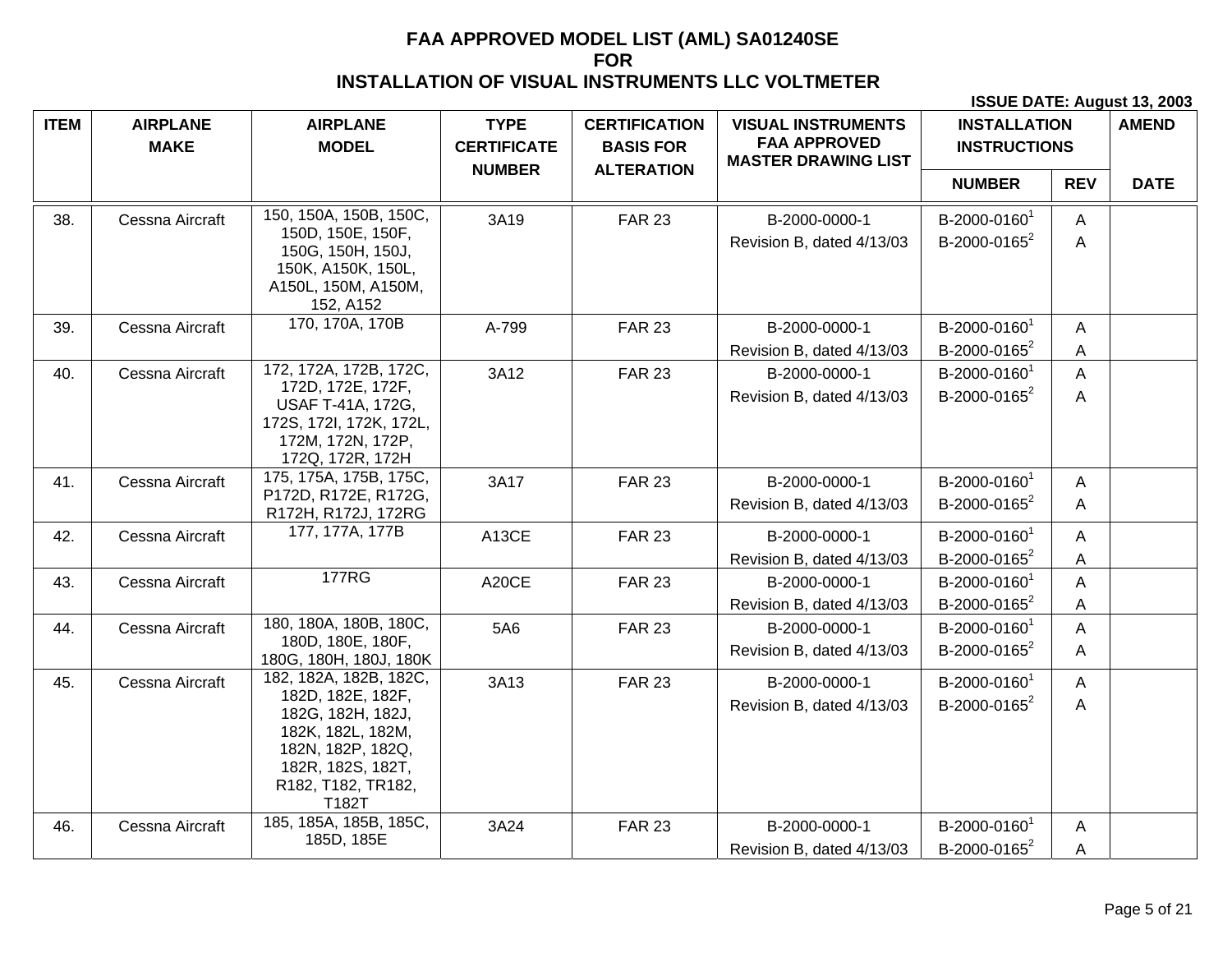| <b>ITEM</b> | <b>AIRPLANE</b><br><b>MAKE</b> | <b>AIRPLANE</b><br><b>MODEL</b>                                                                                                      | <b>TYPE</b><br><b>CERTIFICATE</b><br><b>NUMBER</b> | <b>CERTIFICATION</b><br><b>BASIS FOR</b><br><b>ALTERATION</b> | <b>VISUAL INSTRUMENTS</b><br><b>FAA APPROVED</b><br><b>MASTER DRAWING LIST</b> | <b>INSTALLATION</b><br><b>INSTRUCTIONS</b>           |                              | <b>AMEND</b> |
|-------------|--------------------------------|--------------------------------------------------------------------------------------------------------------------------------------|----------------------------------------------------|---------------------------------------------------------------|--------------------------------------------------------------------------------|------------------------------------------------------|------------------------------|--------------|
|             |                                |                                                                                                                                      |                                                    |                                                               |                                                                                | <b>NUMBER</b>                                        | <b>REV</b>                   | <b>DATE</b>  |
| 38.         | Cessna Aircraft                | 150, 150A, 150B, 150C,                                                                                                               | 3A19                                               | <b>FAR 23</b>                                                 | B-2000-0000-1                                                                  | B-2000-0160 <sup>1</sup>                             | A                            |              |
|             |                                | 150D, 150E, 150F,<br>150G, 150H, 150J,<br>150K, A150K, 150L,<br>A150L, 150M, A150M,<br>152, A152                                     |                                                    |                                                               | Revision B, dated 4/13/03                                                      | B-2000-0165 <sup>2</sup>                             | A                            |              |
| 39.         | Cessna Aircraft                | 170, 170A, 170B                                                                                                                      | A-799                                              | <b>FAR 23</b>                                                 | B-2000-0000-1                                                                  | B-2000-0160 <sup>1</sup>                             | $\mathsf{A}$                 |              |
|             |                                |                                                                                                                                      |                                                    |                                                               | Revision B, dated 4/13/03                                                      | B-2000-0165 <sup>2</sup>                             | Α                            |              |
| 40.         | Cessna Aircraft                | 172, 172A, 172B, 172C,                                                                                                               | 3A12                                               | <b>FAR 23</b>                                                 | B-2000-0000-1                                                                  | B-2000-0160 <sup>1</sup>                             | $\mathsf{A}$                 |              |
|             |                                | 172D, 172E, 172F,<br><b>USAF T-41A, 172G,</b><br>172S, 172I, 172K, 172L,<br>172M, 172N, 172P,<br>172Q, 172R, 172H                    |                                                    |                                                               | Revision B, dated 4/13/03                                                      | B-2000-0165 <sup>2</sup>                             | A                            |              |
| 41.         | Cessna Aircraft                | 175, 175A, 175B, 175C,<br>P172D, R172E, R172G,<br>R172H, R172J, 172RG                                                                | 3A17                                               | <b>FAR 23</b>                                                 | B-2000-0000-1<br>Revision B, dated 4/13/03                                     | B-2000-0160 <sup>1</sup><br>B-2000-0165 <sup>2</sup> | $\mathsf{A}$<br>$\mathsf{A}$ |              |
| 42.         | Cessna Aircraft                | 177, 177A, 177B                                                                                                                      | A13CE                                              | <b>FAR 23</b>                                                 | B-2000-0000-1                                                                  | B-2000-0160 <sup>1</sup>                             | A                            |              |
|             |                                |                                                                                                                                      |                                                    |                                                               | Revision B, dated 4/13/03                                                      | B-2000-0165 <sup>2</sup>                             | $\mathsf A$                  |              |
| 43.         | Cessna Aircraft                | <b>177RG</b>                                                                                                                         | A20CE                                              | <b>FAR 23</b>                                                 | B-2000-0000-1                                                                  | B-2000-0160 <sup>1</sup>                             | A                            |              |
|             |                                |                                                                                                                                      |                                                    |                                                               | Revision B, dated 4/13/03                                                      | B-2000-0165 <sup>2</sup>                             | A                            |              |
| 44.         | Cessna Aircraft                | 180, 180A, 180B, 180C,                                                                                                               | 5A6                                                | <b>FAR 23</b>                                                 | B-2000-0000-1                                                                  | B-2000-0160 <sup>1</sup>                             | A                            |              |
|             |                                | 180D, 180E, 180F,<br>180G, 180H, 180J, 180K                                                                                          |                                                    |                                                               | Revision B, dated 4/13/03                                                      | B-2000-0165 <sup>2</sup>                             | A                            |              |
| 45.         | Cessna Aircraft                | 182, 182A, 182B, 182C,                                                                                                               | 3A13                                               | <b>FAR 23</b>                                                 | B-2000-0000-1                                                                  | B-2000-0160 <sup>1</sup>                             | $\mathsf{A}$                 |              |
|             |                                | 182D, 182E, 182F,<br>182G, 182H, 182J,<br>182K, 182L, 182M,<br>182N, 182P, 182Q,<br>182R, 182S, 182T,<br>R182, T182, TR182,<br>T182T |                                                    |                                                               | Revision B, dated 4/13/03                                                      | B-2000-0165 <sup>2</sup>                             | A                            |              |
| 46.         | Cessna Aircraft                | 185, 185A, 185B, 185C,<br>185D, 185E                                                                                                 | 3A24                                               | <b>FAR 23</b>                                                 | B-2000-0000-1                                                                  | B-2000-0160 <sup>1</sup>                             | $\mathsf{A}$                 |              |
|             |                                |                                                                                                                                      |                                                    |                                                               | Revision B, dated 4/13/03                                                      | B-2000-0165 <sup>2</sup>                             | Α                            |              |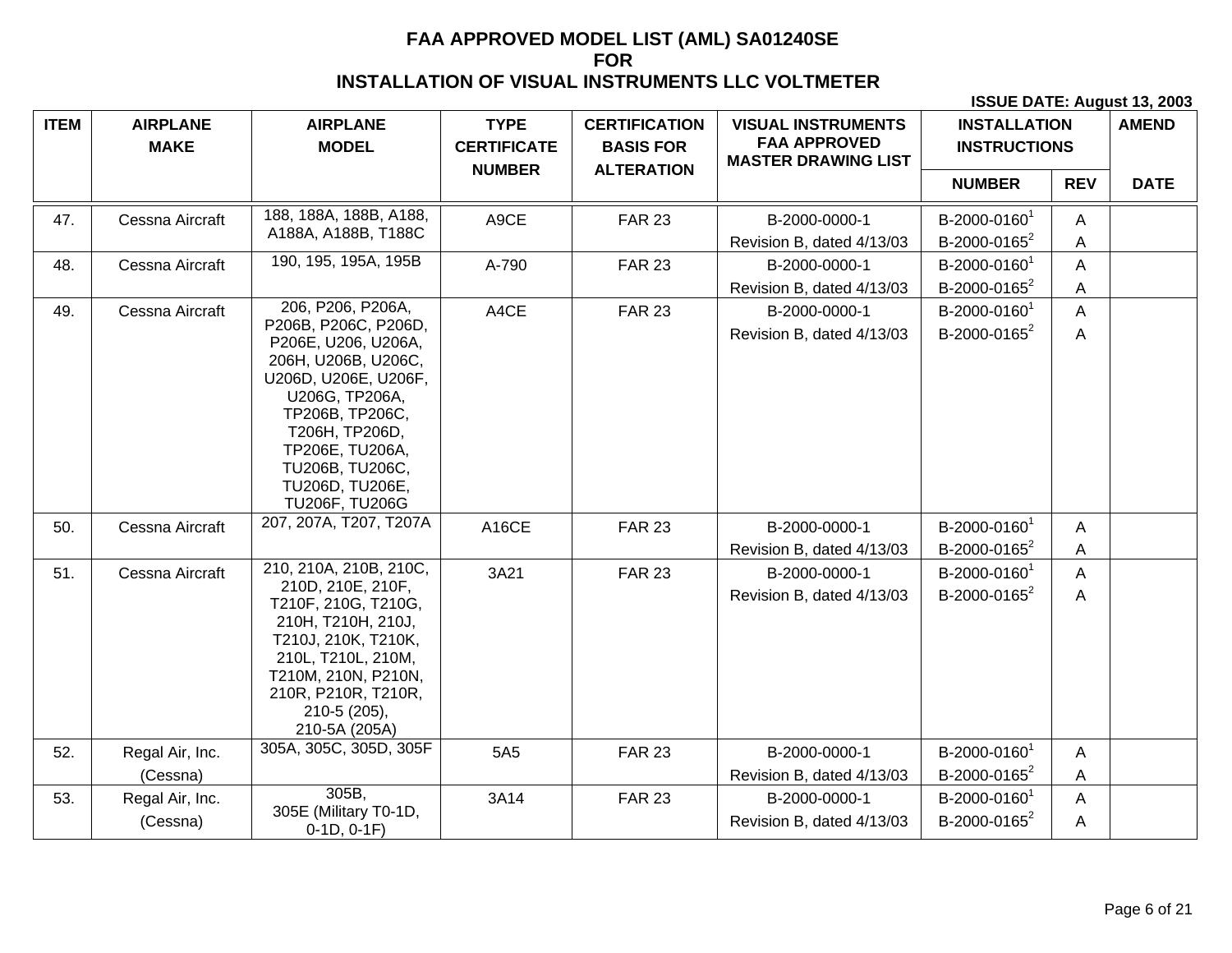| <b>ITEM</b> | <b>AIRPLANE</b>             | <b>AIRPLANE</b>                                                                                                                                                                                                                                          | <b>TYPE</b>        | <b>CERTIFICATION</b> | <b>VISUAL INSTRUMENTS</b>                         | <b>INSTALLATION</b>                                  |            | <b>AMEND</b> |
|-------------|-----------------------------|----------------------------------------------------------------------------------------------------------------------------------------------------------------------------------------------------------------------------------------------------------|--------------------|----------------------|---------------------------------------------------|------------------------------------------------------|------------|--------------|
|             | <b>MAKE</b>                 | <b>MODEL</b>                                                                                                                                                                                                                                             | <b>CERTIFICATE</b> | <b>BASIS FOR</b>     | <b>FAA APPROVED</b><br><b>MASTER DRAWING LIST</b> | <b>INSTRUCTIONS</b>                                  |            |              |
|             |                             |                                                                                                                                                                                                                                                          | <b>NUMBER</b>      | <b>ALTERATION</b>    |                                                   | <b>NUMBER</b>                                        | <b>REV</b> | <b>DATE</b>  |
| 47.         | Cessna Aircraft             | 188, 188A, 188B, A188,<br>A188A, A188B, T188C                                                                                                                                                                                                            | A9CE               | <b>FAR 23</b>        | B-2000-0000-1<br>Revision B, dated 4/13/03        | B-2000-0160<br>B-2000-0165 <sup>2</sup>              | A<br>Α     |              |
| 48.         | Cessna Aircraft             | 190, 195, 195A, 195B                                                                                                                                                                                                                                     | A-790              | <b>FAR 23</b>        | B-2000-0000-1                                     | B-2000-0160                                          | A          |              |
|             |                             |                                                                                                                                                                                                                                                          |                    |                      | Revision B, dated 4/13/03                         | B-2000-0165 <sup>2</sup>                             | A          |              |
| 49.         | Cessna Aircraft             | 206, P206, P206A,<br>P206B, P206C, P206D,<br>P206E, U206, U206A,<br>206H, U206B, U206C,<br>U206D, U206E, U206F,<br>U206G, TP206A,<br>TP206B, TP206C,<br>T206H, TP206D,<br>TP206E, TU206A,<br>TU206B, TU206C,<br>TU206D, TU206E,<br><b>TU206F, TU206G</b> | A4CE               | <b>FAR 23</b>        | B-2000-0000-1<br>Revision B, dated 4/13/03        | B-2000-0160 <sup>1</sup><br>B-2000-0165 <sup>2</sup> | A<br>Α     |              |
| 50.         | Cessna Aircraft             | 207, 207A, T207, T207A                                                                                                                                                                                                                                   | A16CE              | <b>FAR 23</b>        | B-2000-0000-1<br>Revision B, dated 4/13/03        | B-2000-0160<br>B-2000-0165 <sup>2</sup>              | A<br>Α     |              |
| 51.         | Cessna Aircraft             | 210, 210A, 210B, 210C,<br>210D, 210E, 210F,<br>T210F, 210G, T210G,<br>210H, T210H, 210J,<br>T210J, 210K, T210K,<br>210L, T210L, 210M,<br>T210M, 210N, P210N,<br>210R, P210R, T210R,<br>210-5 (205),<br>210-5A (205A)                                     | 3A21               | <b>FAR 23</b>        | B-2000-0000-1<br>Revision B, dated 4/13/03        | B-2000-0160 <sup>1</sup><br>B-2000-0165 <sup>2</sup> | Α<br>Α     |              |
| 52.         | Regal Air, Inc.<br>(Cessna) | 305A, 305C, 305D, 305F                                                                                                                                                                                                                                   | 5A5                | <b>FAR 23</b>        | B-2000-0000-1<br>Revision B, dated 4/13/03        | B-2000-0160 <sup>1</sup><br>B-2000-0165 <sup>2</sup> | A<br>Α     |              |
| 53.         | Regal Air, Inc.<br>(Cessna) | 305B,<br>305E (Military T0-1D,<br>$0-1D, 0-1F)$                                                                                                                                                                                                          | 3A14               | <b>FAR 23</b>        | B-2000-0000-1<br>Revision B, dated 4/13/03        | B-2000-0160 <sup>1</sup><br>B-2000-0165 <sup>2</sup> | A<br>A     |              |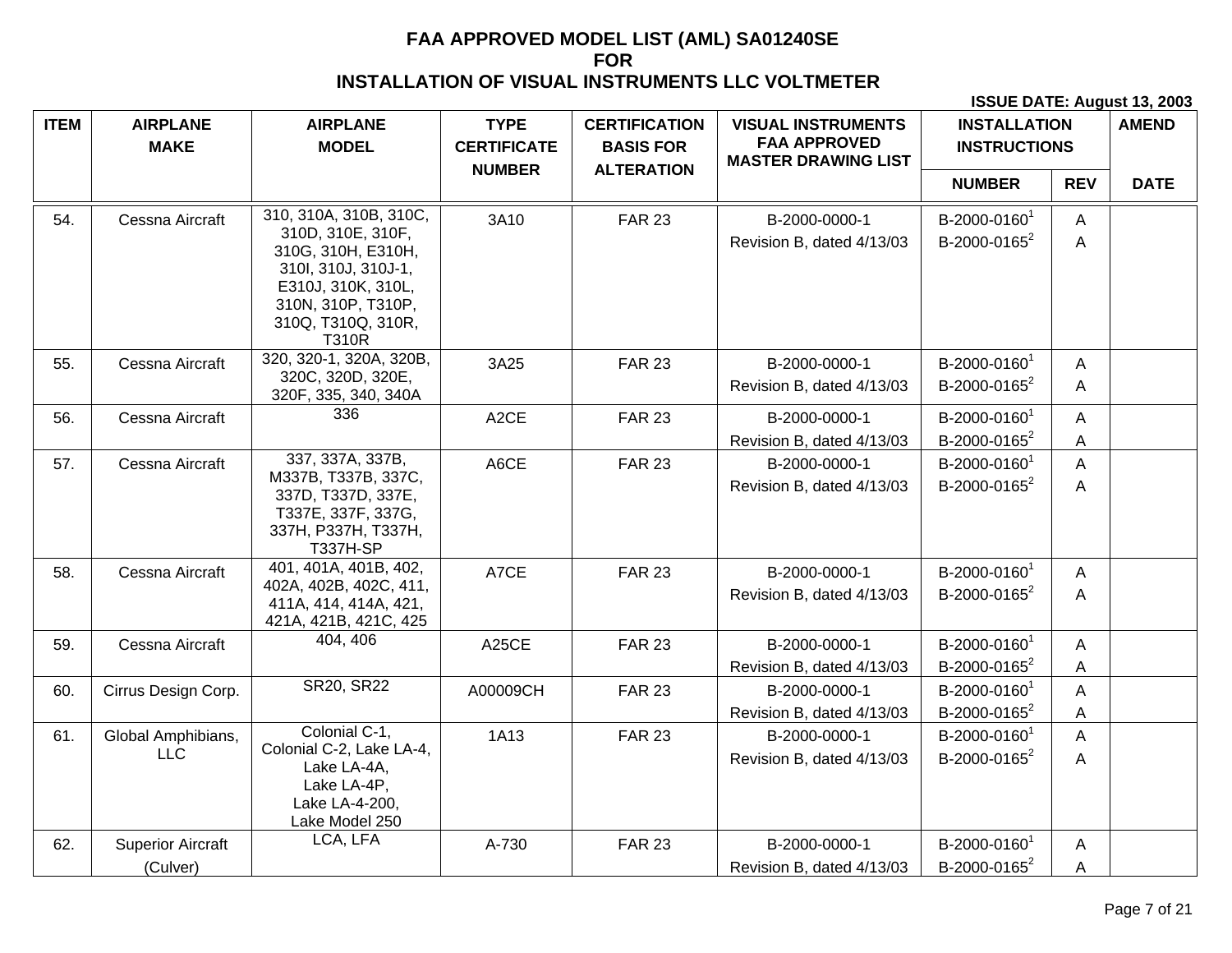| <b>ITEM</b> | <b>AIRPLANE</b>          | <b>AIRPLANE</b>                                                                                                                                  | <b>TYPE</b>        | <b>CERTIFICATION</b> | <b>VISUAL INSTRUMENTS</b>                         | <b>INSTALLATION</b>      |              | <b>AMEND</b> |
|-------------|--------------------------|--------------------------------------------------------------------------------------------------------------------------------------------------|--------------------|----------------------|---------------------------------------------------|--------------------------|--------------|--------------|
|             | <b>MAKE</b>              | <b>MODEL</b>                                                                                                                                     | <b>CERTIFICATE</b> | <b>BASIS FOR</b>     | <b>FAA APPROVED</b><br><b>MASTER DRAWING LIST</b> | <b>INSTRUCTIONS</b>      |              |              |
|             |                          |                                                                                                                                                  | <b>NUMBER</b>      | <b>ALTERATION</b>    |                                                   | <b>NUMBER</b>            | <b>REV</b>   | <b>DATE</b>  |
| 54.         | Cessna Aircraft          | 310, 310A, 310B, 310C,                                                                                                                           | 3A10               | <b>FAR 23</b>        | B-2000-0000-1                                     | B-2000-0160 <sup>1</sup> | A            |              |
|             |                          | 310D, 310E, 310F,<br>310G, 310H, E310H,<br>310l, 310J, 310J-1,<br>E310J, 310K, 310L,<br>310N, 310P, T310P,<br>310Q, T310Q, 310R,<br><b>T310R</b> |                    |                      | Revision B, dated 4/13/03                         | B-2000-0165 <sup>2</sup> | A            |              |
| 55.         | Cessna Aircraft          | 320, 320-1, 320A, 320B,                                                                                                                          | 3A25               | <b>FAR 23</b>        | B-2000-0000-1                                     | B-2000-0160 <sup>1</sup> | A            |              |
|             |                          | 320C, 320D, 320E,<br>320F, 335, 340, 340A                                                                                                        |                    |                      | Revision B, dated 4/13/03                         | B-2000-0165 <sup>2</sup> | A            |              |
| 56.         | Cessna Aircraft          | 336                                                                                                                                              | A <sub>2</sub> CE  | <b>FAR 23</b>        | B-2000-0000-1                                     | B-2000-0160 <sup>1</sup> | A            |              |
|             |                          |                                                                                                                                                  |                    |                      | Revision B, dated 4/13/03                         | B-2000-0165 <sup>2</sup> | Α            |              |
| 57.         | Cessna Aircraft          | 337, 337A, 337B,                                                                                                                                 | A6CE               | <b>FAR 23</b>        | B-2000-0000-1                                     | B-2000-0160 <sup>1</sup> | A            |              |
|             |                          | M337B, T337B, 337C,<br>337D, T337D, 337E,<br>T337E, 337F, 337G,<br>337H, P337H, T337H,<br><b>T337H-SP</b>                                        |                    |                      | Revision B, dated 4/13/03                         | B-2000-0165 <sup>2</sup> | A            |              |
| 58.         | Cessna Aircraft          | 401, 401A, 401B, 402,                                                                                                                            | A7CE               | <b>FAR 23</b>        | B-2000-0000-1                                     | B-2000-0160 <sup>1</sup> | $\mathsf{A}$ |              |
|             |                          | 402A, 402B, 402C, 411,<br>411A, 414, 414A, 421,<br>421A, 421B, 421C, 425                                                                         |                    |                      | Revision B, dated 4/13/03                         | B-2000-0165 <sup>2</sup> | A            |              |
| 59.         | Cessna Aircraft          | 404, 406                                                                                                                                         | A25CE              | <b>FAR 23</b>        | B-2000-0000-1                                     | B-2000-0160 <sup>1</sup> | $\mathsf{A}$ |              |
|             |                          |                                                                                                                                                  |                    |                      | Revision B, dated 4/13/03                         | B-2000-0165 <sup>2</sup> | A            |              |
| 60.         | Cirrus Design Corp.      | <b>SR20, SR22</b>                                                                                                                                | A00009CH           | <b>FAR 23</b>        | B-2000-0000-1                                     | B-2000-0160 <sup>1</sup> | A            |              |
|             |                          |                                                                                                                                                  |                    |                      | Revision B, dated 4/13/03                         | B-2000-0165 <sup>2</sup> | A            |              |
| 61.         | Global Amphibians,       | Colonial C-1,                                                                                                                                    | 1A13               | <b>FAR 23</b>        | B-2000-0000-1                                     | B-2000-0160 <sup>1</sup> | $\mathsf{A}$ |              |
|             | <b>LLC</b>               | Colonial C-2, Lake LA-4,<br>Lake LA-4A,<br>Lake LA-4P,<br>Lake LA-4-200,<br>Lake Model 250                                                       |                    |                      | Revision B, dated 4/13/03                         | B-2000-0165 <sup>2</sup> | A            |              |
| 62.         | <b>Superior Aircraft</b> | LCA, LFA                                                                                                                                         | A-730              | <b>FAR 23</b>        | B-2000-0000-1                                     | B-2000-0160 <sup>1</sup> | A            |              |
|             | (Culver)                 |                                                                                                                                                  |                    |                      | Revision B, dated 4/13/03                         | B-2000-0165 <sup>2</sup> | A            |              |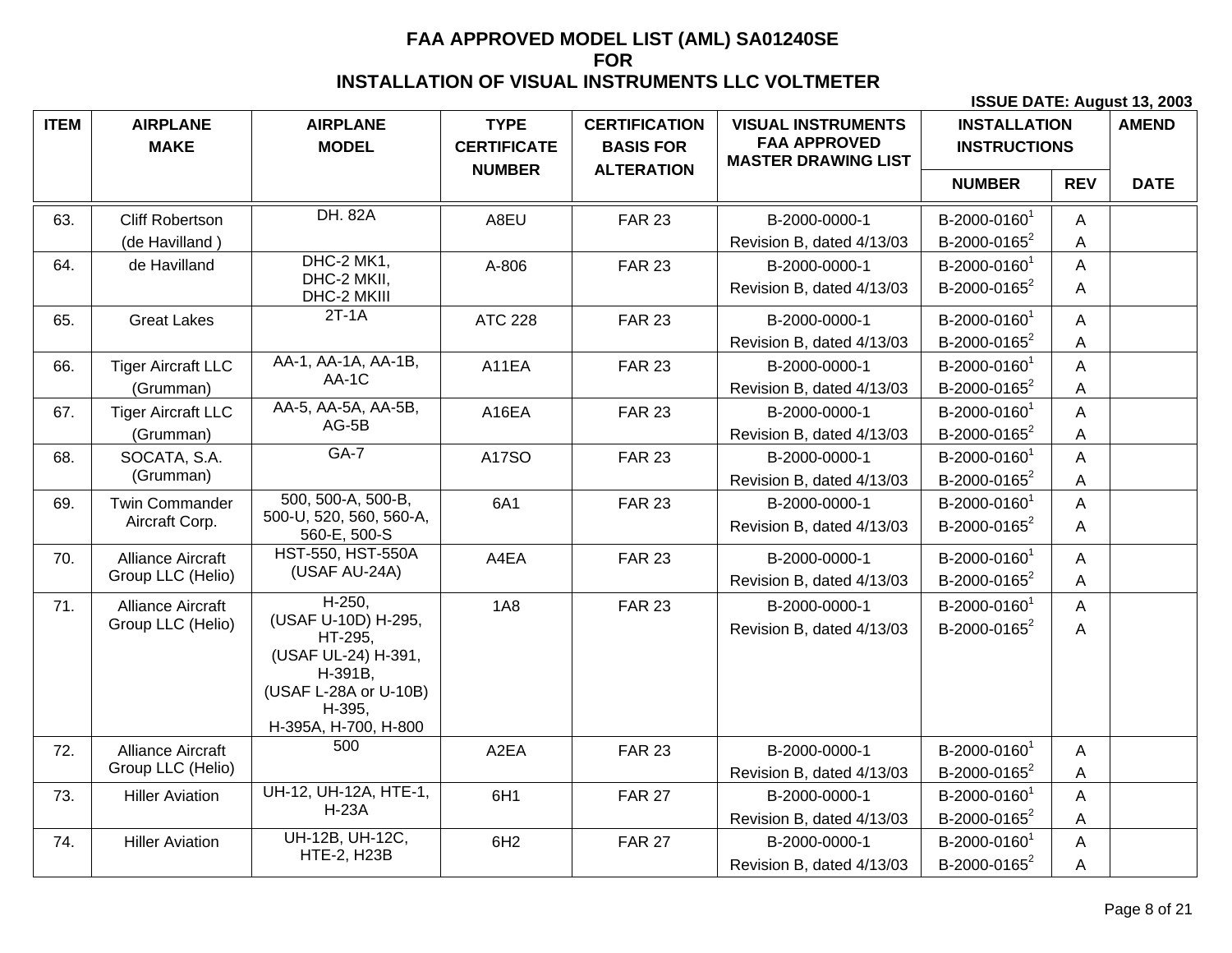| <b>ITEM</b> | <b>AIRPLANE</b><br><b>MAKE</b> | <b>AIRPLANE</b><br><b>MODEL</b>         | <b>TYPE</b><br><b>CERTIFICATE</b> | <b>CERTIFICATION</b><br><b>BASIS FOR</b> | <b>VISUAL INSTRUMENTS</b><br><b>FAA APPROVED</b><br><b>MASTER DRAWING LIST</b> | <b>INSTALLATION</b><br><b>INSTRUCTIONS</b> |            | <b>AMEND</b> |
|-------------|--------------------------------|-----------------------------------------|-----------------------------------|------------------------------------------|--------------------------------------------------------------------------------|--------------------------------------------|------------|--------------|
|             |                                |                                         | <b>NUMBER</b>                     | <b>ALTERATION</b>                        |                                                                                | <b>NUMBER</b>                              | <b>REV</b> | <b>DATE</b>  |
| 63.         | <b>Cliff Robertson</b>         | <b>DH. 82A</b>                          | A8EU                              | <b>FAR 23</b>                            | B-2000-0000-1                                                                  | B-2000-0160 <sup>1</sup>                   | A          |              |
|             | (de Havilland)                 |                                         |                                   |                                          | Revision B, dated 4/13/03                                                      | B-2000-0165 <sup>2</sup>                   | A          |              |
| 64.         | de Havilland                   | DHC-2 MK1,                              | A-806                             | <b>FAR 23</b>                            | B-2000-0000-1                                                                  | B-2000-0160 <sup>1</sup>                   | A          |              |
|             |                                | DHC-2 MKII,<br>DHC-2 MKIII              |                                   |                                          | Revision B, dated 4/13/03                                                      | B-2000-0165 <sup>2</sup>                   | A          |              |
| 65.         | <b>Great Lakes</b>             | $2T-1A$                                 | <b>ATC 228</b>                    | <b>FAR 23</b>                            | B-2000-0000-1                                                                  | B-2000-0160 <sup>1</sup>                   | A          |              |
|             |                                |                                         |                                   |                                          | Revision B, dated 4/13/03                                                      | B-2000-0165 <sup>2</sup>                   | A          |              |
| 66.         | <b>Tiger Aircraft LLC</b>      | AA-1, AA-1A, AA-1B,                     | A11EA                             | <b>FAR 23</b>                            | B-2000-0000-1                                                                  | B-2000-0160 <sup>1</sup>                   | A          |              |
|             | (Grumman)                      | AA-1C                                   |                                   |                                          | Revision B, dated 4/13/03                                                      | B-2000-0165 <sup>2</sup>                   | A          |              |
| 67.         | <b>Tiger Aircraft LLC</b>      | AA-5, AA-5A, AA-5B,                     | A16EA                             | <b>FAR 23</b>                            | B-2000-0000-1                                                                  | B-2000-0160 <sup>1</sup>                   | A          |              |
|             | (Grumman)                      | $AG-5B$                                 |                                   |                                          | Revision B, dated 4/13/03                                                      | B-2000-0165 <sup>2</sup>                   | A          |              |
| 68.         | SOCATA, S.A.                   | $GA-7$                                  | A17SO                             | <b>FAR 23</b>                            | B-2000-0000-1                                                                  | B-2000-0160 <sup>1</sup>                   | A          |              |
|             | (Grumman)                      |                                         |                                   |                                          | Revision B, dated 4/13/03                                                      | B-2000-0165 <sup>2</sup>                   | A          |              |
| 69.         | <b>Twin Commander</b>          | 500, 500-A, 500-B,                      | 6A1                               | <b>FAR 23</b>                            | B-2000-0000-1                                                                  | B-2000-0160 <sup>1</sup>                   | A          |              |
|             | Aircraft Corp.                 | 500-U, 520, 560, 560-A,<br>560-E, 500-S |                                   |                                          | Revision B, dated 4/13/03                                                      | B-2000-0165 <sup>2</sup>                   | A          |              |
| 70.         | <b>Alliance Aircraft</b>       | <b>HST-550, HST-550A</b>                | A4EA                              | <b>FAR 23</b>                            | B-2000-0000-1                                                                  | B-2000-0160 <sup>1</sup>                   | A          |              |
|             | Group LLC (Helio)              | (USAF AU-24A)                           |                                   |                                          | Revision B, dated 4/13/03                                                      | B-2000-0165 <sup>2</sup>                   | A          |              |
| 71.         | <b>Alliance Aircraft</b>       | $H-250$                                 | <b>1A8</b>                        | <b>FAR 23</b>                            | B-2000-0000-1                                                                  | B-2000-01601                               | A          |              |
|             | Group LLC (Helio)              | (USAF U-10D) H-295,                     |                                   |                                          | Revision B, dated 4/13/03                                                      | B-2000-0165 <sup>2</sup>                   | A          |              |
|             |                                | HT-295,<br>(USAF UL-24) H-391,          |                                   |                                          |                                                                                |                                            |            |              |
|             |                                | H-391B,                                 |                                   |                                          |                                                                                |                                            |            |              |
|             |                                | (USAF L-28A or U-10B)                   |                                   |                                          |                                                                                |                                            |            |              |
|             |                                | H-395.<br>H-395A, H-700, H-800          |                                   |                                          |                                                                                |                                            |            |              |
| 72.         | <b>Alliance Aircraft</b>       | 500                                     | A <sub>2</sub> EA                 | <b>FAR 23</b>                            | B-2000-0000-1                                                                  | B-2000-0160 <sup>1</sup>                   | A          |              |
|             | Group LLC (Helio)              |                                         |                                   |                                          | Revision B, dated 4/13/03                                                      | B-2000-0165 <sup>2</sup>                   | A          |              |
| 73.         | <b>Hiller Aviation</b>         | UH-12, UH-12A, HTE-1,                   | 6H1                               | <b>FAR 27</b>                            | B-2000-0000-1                                                                  | B-2000-0160 <sup>1</sup>                   | A          |              |
|             |                                | <b>H-23A</b>                            |                                   |                                          | Revision B, dated 4/13/03                                                      | B-2000-0165 <sup>2</sup>                   | A          |              |
| 74.         | <b>Hiller Aviation</b>         | UH-12B, UH-12C,                         | 6H <sub>2</sub>                   | <b>FAR 27</b>                            | B-2000-0000-1                                                                  | B-2000-0160 <sup>1</sup>                   | A          |              |
|             |                                | <b>HTE-2, H23B</b>                      |                                   |                                          | Revision B, dated 4/13/03                                                      | B-2000-0165 <sup>2</sup>                   | A          |              |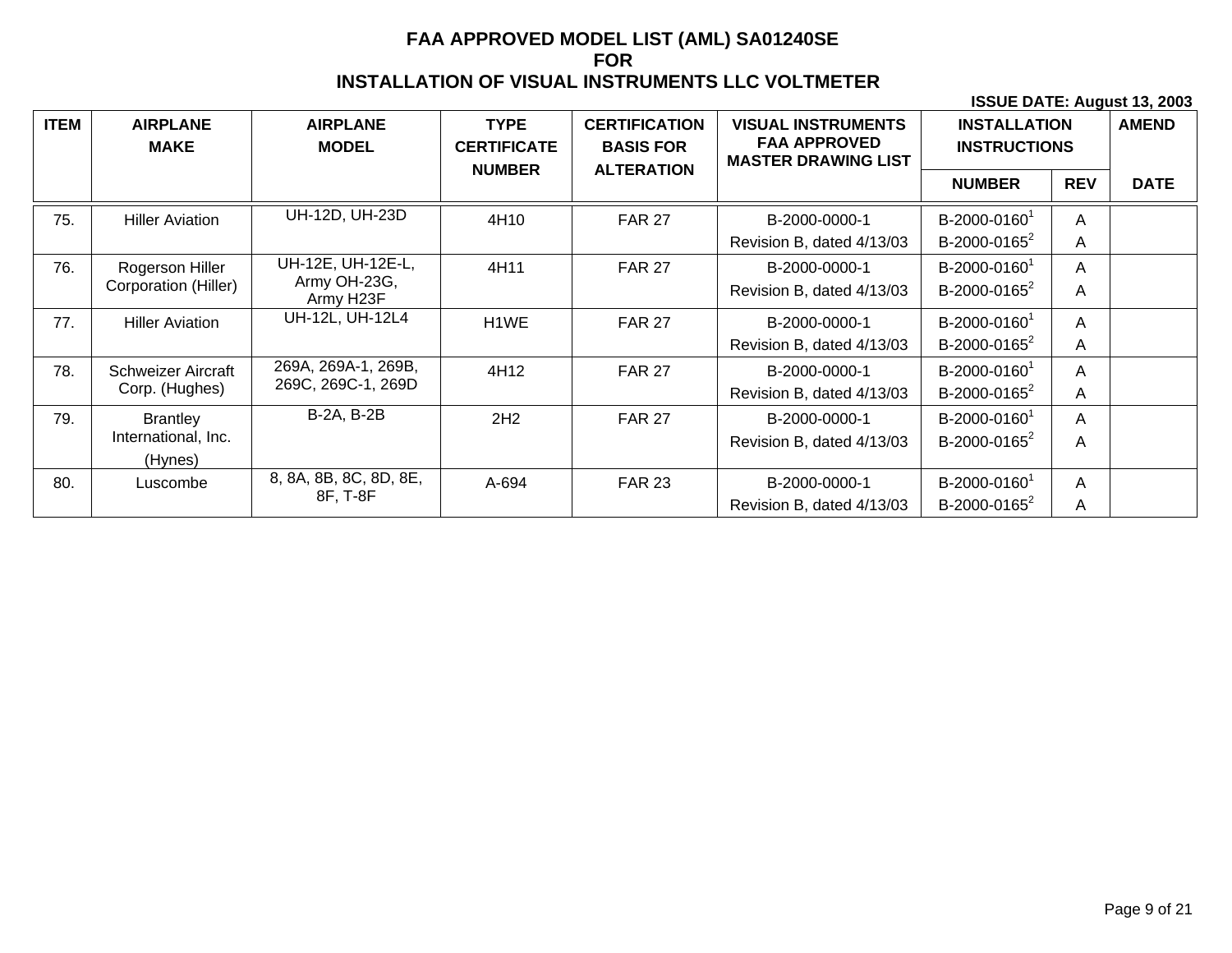| <b>ITEM</b> | <b>AIRPLANE</b><br><b>MAKE</b> | <b>AIRPLANE</b><br><b>MODEL</b> | <b>TYPE</b><br><b>CERTIFICATE</b><br><b>NUMBER</b> | <b>CERTIFICATION</b><br><b>BASIS FOR</b><br><b>ALTERATION</b> | <b>VISUAL INSTRUMENTS</b><br><b>FAA APPROVED</b><br><b>MASTER DRAWING LIST</b> | <b>INSTALLATION</b><br><b>INSTRUCTIONS</b> |            | <b>AMEND</b> |
|-------------|--------------------------------|---------------------------------|----------------------------------------------------|---------------------------------------------------------------|--------------------------------------------------------------------------------|--------------------------------------------|------------|--------------|
|             |                                |                                 |                                                    |                                                               |                                                                                | <b>NUMBER</b>                              | <b>REV</b> | <b>DATE</b>  |
| 75.         | <b>Hiller Aviation</b>         | UH-12D, UH-23D                  | 4H10                                               | <b>FAR 27</b>                                                 | B-2000-0000-1                                                                  | B-2000-0160 <sup>1</sup>                   | Α          |              |
|             |                                |                                 |                                                    |                                                               | Revision B, dated 4/13/03                                                      | B-2000-0165 <sup>2</sup>                   | A          |              |
| 76.         | Rogerson Hiller                | UH-12E, UH-12E-L,               | 4H11                                               | <b>FAR 27</b>                                                 | B-2000-0000-1                                                                  | B-2000-0160 <sup>1</sup>                   | A          |              |
|             | Corporation (Hiller)           | Army OH-23G,<br>Army H23F       |                                                    |                                                               | Revision B, dated 4/13/03                                                      | B-2000-0165 <sup>2</sup>                   | A          |              |
| 77.         | <b>Hiller Aviation</b>         | UH-12L, UH-12L4                 | H1WE                                               | <b>FAR 27</b>                                                 | B-2000-0000-1                                                                  | B-2000-0160 <sup>1</sup>                   | A          |              |
|             |                                |                                 |                                                    |                                                               | Revision B, dated 4/13/03                                                      | B-2000-0165 <sup>2</sup>                   | A          |              |
| 78.         | <b>Schweizer Aircraft</b>      | 269A, 269A-1, 269B,             | 4H12                                               | <b>FAR 27</b>                                                 | B-2000-0000-1                                                                  | B-2000-0160 <sup>1</sup>                   | A          |              |
|             | Corp. (Hughes)                 | 269C, 269C-1, 269D              |                                                    |                                                               | Revision B, dated 4/13/03                                                      | B-2000-0165 <sup>2</sup>                   | A          |              |
| 79.         | <b>Brantley</b>                | <b>B-2A, B-2B</b>               | 2H2                                                | <b>FAR 27</b>                                                 | B-2000-0000-1                                                                  | B-2000-0160 <sup>1</sup>                   | A          |              |
|             | International, Inc.            |                                 |                                                    |                                                               | Revision B, dated 4/13/03                                                      | B-2000-0165 <sup>2</sup>                   | Α          |              |
|             | (Hynes)                        |                                 |                                                    |                                                               |                                                                                |                                            |            |              |
| 80.         | Luscombe                       | 8, 8A, 8B, 8C, 8D, 8E,          | A-694                                              | <b>FAR 23</b>                                                 | B-2000-0000-1                                                                  | B-2000-0160                                | A          |              |
|             |                                | 8F, T-8F                        |                                                    |                                                               | Revision B, dated 4/13/03                                                      | B-2000-0165 $2$                            | A          |              |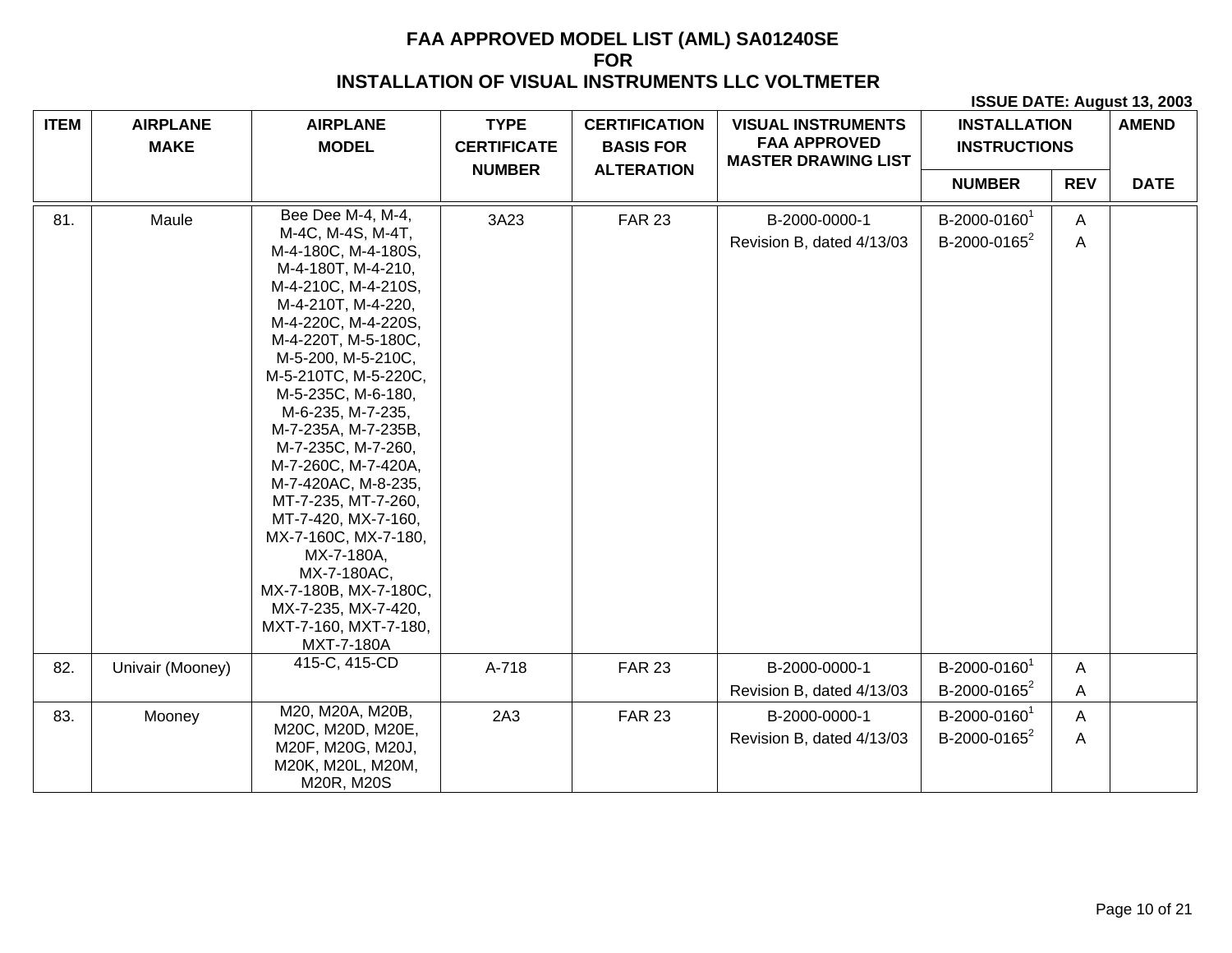| <b>ITEM</b> | <b>AIRPLANE</b><br><b>MAKE</b> | <b>AIRPLANE</b><br><b>MODEL</b>                                                                                                                                                                                                                                                                                                                                                                                                                                                                                                                | <b>TYPE</b><br><b>CERTIFICATE</b> | <b>CERTIFICATION</b><br><b>BASIS FOR</b> | <b>VISUAL INSTRUMENTS</b><br><b>FAA APPROVED</b><br><b>MASTER DRAWING LIST</b> | <b>INSTALLATION</b><br><b>INSTRUCTIONS</b>           |                   | <b>AMEND</b> |
|-------------|--------------------------------|------------------------------------------------------------------------------------------------------------------------------------------------------------------------------------------------------------------------------------------------------------------------------------------------------------------------------------------------------------------------------------------------------------------------------------------------------------------------------------------------------------------------------------------------|-----------------------------------|------------------------------------------|--------------------------------------------------------------------------------|------------------------------------------------------|-------------------|--------------|
|             |                                |                                                                                                                                                                                                                                                                                                                                                                                                                                                                                                                                                | <b>NUMBER</b>                     | <b>ALTERATION</b>                        |                                                                                | <b>NUMBER</b>                                        | <b>REV</b>        | <b>DATE</b>  |
| 81.         | Maule                          | Bee Dee M-4, M-4,<br>M-4C, M-4S, M-4T,<br>M-4-180C, M-4-180S,<br>M-4-180T, M-4-210,<br>M-4-210C, M-4-210S,<br>M-4-210T, M-4-220,<br>M-4-220C, M-4-220S,<br>M-4-220T, M-5-180C,<br>M-5-200, M-5-210C,<br>M-5-210TC, M-5-220C,<br>M-5-235C, M-6-180,<br>M-6-235, M-7-235,<br>M-7-235A, M-7-235B,<br>M-7-235C, M-7-260,<br>M-7-260C, M-7-420A,<br>M-7-420AC, M-8-235,<br>MT-7-235, MT-7-260,<br>MT-7-420, MX-7-160,<br>MX-7-160C, MX-7-180,<br>MX-7-180A,<br>MX-7-180AC,<br>MX-7-180B, MX-7-180C,<br>MX-7-235, MX-7-420,<br>MXT-7-160, MXT-7-180, | 3A23                              | <b>FAR 23</b>                            | B-2000-0000-1<br>Revision B, dated 4/13/03                                     | B-2000-0160 <sup>1</sup><br>B-2000-0165 <sup>2</sup> | A<br>A            |              |
| 82.         | Univair (Mooney)               | MXT-7-180A<br>415-C, 415-CD                                                                                                                                                                                                                                                                                                                                                                                                                                                                                                                    | A-718                             | <b>FAR 23</b>                            | B-2000-0000-1<br>Revision B, dated 4/13/03                                     | B-2000-0160 <sup>1</sup><br>B-2000-0165 <sup>2</sup> | A<br>A            |              |
| 83.         | Mooney                         | M20, M20A, M20B,<br>M20C, M20D, M20E,<br>M20F, M20G, M20J,<br>M20K, M20L, M20M,<br>M20R, M20S                                                                                                                                                                                                                                                                                                                                                                                                                                                  | 2A3                               | <b>FAR 23</b>                            | B-2000-0000-1<br>Revision B, dated 4/13/03                                     | B-2000-0160 <sup>1</sup><br>B-2000-0165 <sup>2</sup> | $\mathsf{A}$<br>A |              |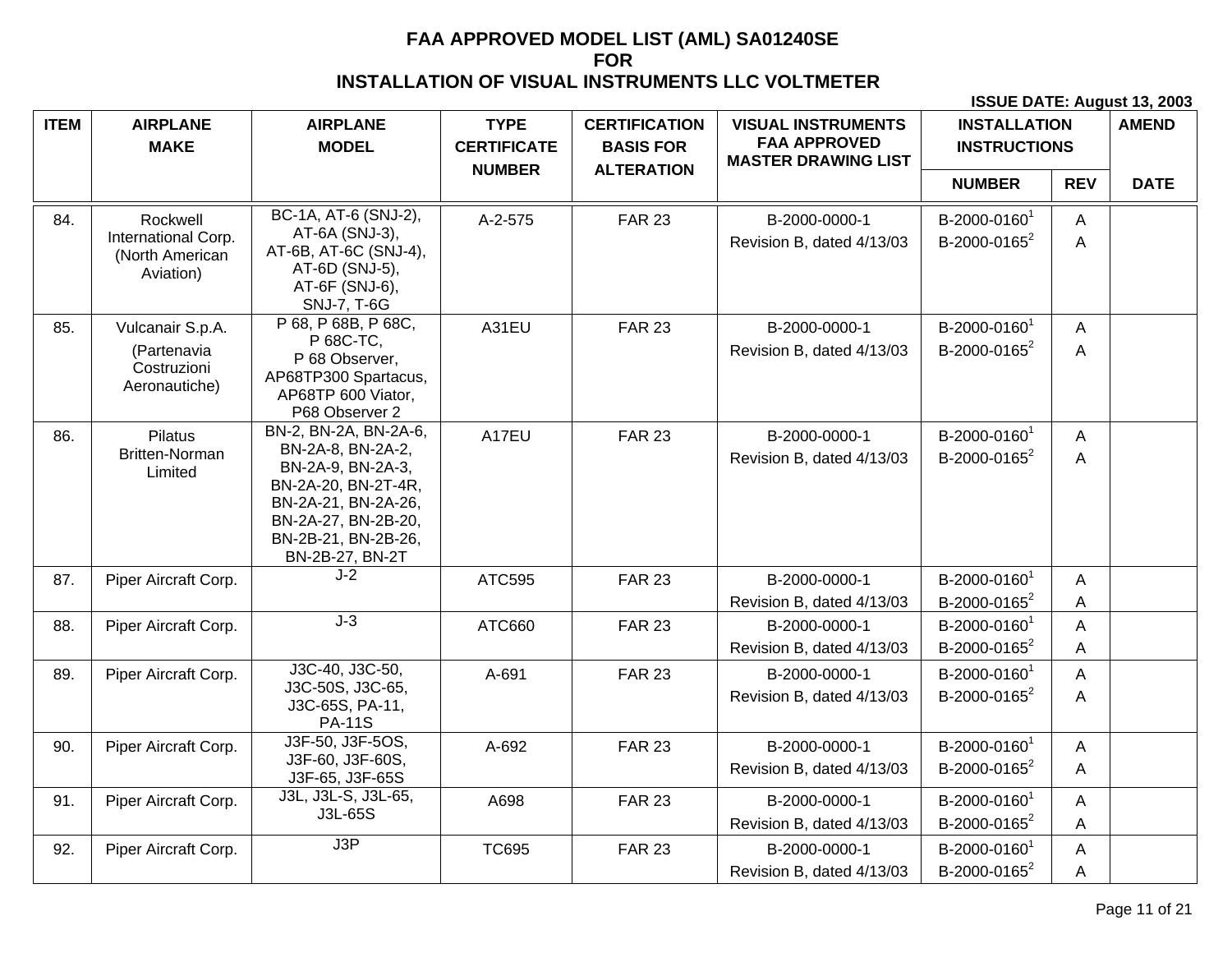| <b>ITEM</b> | <b>AIRPLANE</b><br><b>MAKE</b>                      | <b>AIRPLANE</b><br><b>MODEL</b>                                                                                                                       | <b>TYPE</b><br><b>CERTIFICATE</b> | <b>CERTIFICATION</b><br><b>BASIS FOR</b> | <b>VISUAL INSTRUMENTS</b><br><b>FAA APPROVED</b><br><b>MASTER DRAWING LIST</b> | <b>INSTALLATION</b><br><b>INSTRUCTIONS</b>           |                | <b>AMEND</b> |
|-------------|-----------------------------------------------------|-------------------------------------------------------------------------------------------------------------------------------------------------------|-----------------------------------|------------------------------------------|--------------------------------------------------------------------------------|------------------------------------------------------|----------------|--------------|
|             |                                                     |                                                                                                                                                       | <b>NUMBER</b>                     | <b>ALTERATION</b>                        |                                                                                | <b>NUMBER</b>                                        | <b>REV</b>     | <b>DATE</b>  |
| 84.         | Rockwell                                            | BC-1A, AT-6 (SNJ-2),                                                                                                                                  | A-2-575                           | <b>FAR 23</b>                            | B-2000-0000-1                                                                  | B-2000-01601                                         | A              |              |
|             | International Corp.<br>(North American<br>Aviation) | AT-6A (SNJ-3),<br>AT-6B, AT-6C (SNJ-4),<br>AT-6D (SNJ-5),<br>AT-6F (SNJ-6),<br><b>SNJ-7, T-6G</b>                                                     |                                   |                                          | Revision B, dated 4/13/03                                                      | B-2000-0165 <sup>2</sup>                             | $\overline{A}$ |              |
| 85.         | Vulcanair S.p.A.                                    | P 68, P 68B, P 68C,<br>P 68C-TC,                                                                                                                      | A31EU                             | <b>FAR 23</b>                            | B-2000-0000-1                                                                  | B-2000-01601                                         | A              |              |
|             | (Partenavia<br>Costruzioni<br>Aeronautiche)         | P 68 Observer,<br>AP68TP300 Spartacus,<br>AP68TP 600 Viator,<br>P68 Observer 2                                                                        |                                   |                                          | Revision B, dated 4/13/03                                                      | B-2000-0165 <sup>2</sup>                             | A              |              |
| 86.         | <b>Pilatus</b>                                      | BN-2, BN-2A, BN-2A-6,                                                                                                                                 | A17EU                             | <b>FAR 23</b>                            | B-2000-0000-1                                                                  | B-2000-0160                                          | A              |              |
|             | <b>Britten-Norman</b><br>Limited                    | BN-2A-8, BN-2A-2,<br>BN-2A-9, BN-2A-3,<br>BN-2A-20, BN-2T-4R,<br>BN-2A-21, BN-2A-26,<br>BN-2A-27, BN-2B-20,<br>BN-2B-21, BN-2B-26,<br>BN-2B-27, BN-2T |                                   |                                          | Revision B, dated 4/13/03                                                      | B-2000-0165 <sup>2</sup>                             | A              |              |
| 87.         | Piper Aircraft Corp.                                | $J-2$                                                                                                                                                 | ATC595                            | <b>FAR 23</b>                            | B-2000-0000-1<br>Revision B, dated 4/13/03                                     | B-2000-0160 <sup>1</sup><br>B-2000-0165 <sup>2</sup> | A<br>A         |              |
| 88.         | Piper Aircraft Corp.                                | $J-3$                                                                                                                                                 | ATC660                            | <b>FAR 23</b>                            | B-2000-0000-1                                                                  | B-2000-0160 <sup>1</sup>                             | A              |              |
|             |                                                     |                                                                                                                                                       |                                   |                                          | Revision B, dated 4/13/03                                                      | B-2000-0165 <sup>2</sup>                             | A              |              |
| 89.         | Piper Aircraft Corp.                                | J3C-40, J3C-50,<br>J3C-50S, J3C-65,<br>J3C-65S, PA-11,                                                                                                | A-691                             | <b>FAR 23</b>                            | B-2000-0000-1<br>Revision B, dated 4/13/03                                     | B-2000-0160 <sup>1</sup><br>B-2000-0165 <sup>2</sup> | A<br>A         |              |
|             |                                                     | <b>PA-11S</b><br>J3F-50, J3F-5OS,                                                                                                                     |                                   |                                          |                                                                                |                                                      |                |              |
| 90.         | Piper Aircraft Corp.                                | J3F-60, J3F-60S,<br>J3F-65, J3F-65S                                                                                                                   | A-692                             | <b>FAR 23</b>                            | B-2000-0000-1<br>Revision B, dated 4/13/03                                     | B-2000-0160 <sup>1</sup><br>B-2000-0165 <sup>2</sup> | A<br>A         |              |
| 91.         | Piper Aircraft Corp.                                | J3L, J3L-S, J3L-65,                                                                                                                                   | A698                              | <b>FAR 23</b>                            | B-2000-0000-1                                                                  | B-2000-01601                                         | A              |              |
|             |                                                     | J3L-65S                                                                                                                                               |                                   |                                          | Revision B, dated 4/13/03                                                      | B-2000-0165 <sup>2</sup>                             | A              |              |
| 92.         | Piper Aircraft Corp.                                | J3P                                                                                                                                                   | <b>TC695</b>                      | <b>FAR 23</b>                            | B-2000-0000-1                                                                  | B-2000-0160 <sup>1</sup>                             | A              |              |
|             |                                                     |                                                                                                                                                       |                                   |                                          | Revision B, dated 4/13/03                                                      | B-2000-0165 <sup>2</sup>                             | A              |              |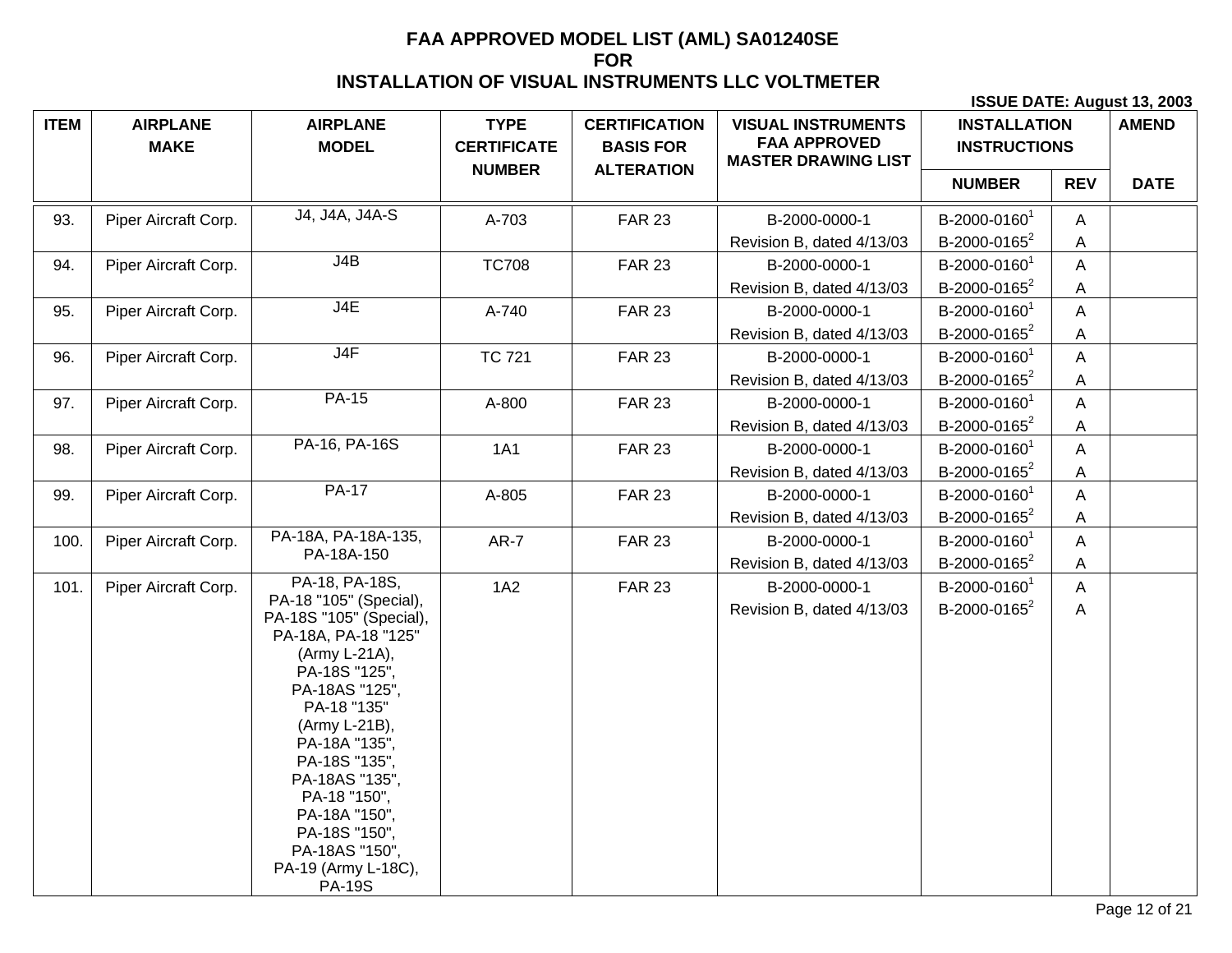| <b>ITEM</b> | <b>AIRPLANE</b><br><b>MAKE</b> | <b>AIRPLANE</b><br><b>MODEL</b>                                                                                                                                                                                                                                                                                              | <b>TYPE</b><br><b>CERTIFICATE</b> | <b>CERTIFICATION</b><br><b>BASIS FOR</b> | <b>VISUAL INSTRUMENTS</b><br><b>FAA APPROVED</b><br><b>MASTER DRAWING LIST</b> | <b>INSTALLATION</b><br><b>INSTRUCTIONS</b> |                | <b>AMEND</b> |
|-------------|--------------------------------|------------------------------------------------------------------------------------------------------------------------------------------------------------------------------------------------------------------------------------------------------------------------------------------------------------------------------|-----------------------------------|------------------------------------------|--------------------------------------------------------------------------------|--------------------------------------------|----------------|--------------|
|             |                                |                                                                                                                                                                                                                                                                                                                              | <b>NUMBER</b>                     | <b>ALTERATION</b>                        |                                                                                | <b>NUMBER</b>                              | <b>REV</b>     | <b>DATE</b>  |
| 93.         | Piper Aircraft Corp.           | J4, J4A, J4A-S                                                                                                                                                                                                                                                                                                               | A-703                             | <b>FAR 23</b>                            | B-2000-0000-1                                                                  | B-2000-0160 <sup>1</sup>                   | A              |              |
|             |                                |                                                                                                                                                                                                                                                                                                                              |                                   |                                          | Revision B, dated 4/13/03                                                      | B-2000-0165 $2$                            | A              |              |
| 94.         | Piper Aircraft Corp.           | J4B                                                                                                                                                                                                                                                                                                                          | <b>TC708</b>                      | <b>FAR 23</b>                            | B-2000-0000-1                                                                  | B-2000-0160 <sup>1</sup>                   | $\overline{A}$ |              |
|             |                                |                                                                                                                                                                                                                                                                                                                              |                                   |                                          | Revision B, dated 4/13/03                                                      | B-2000-0165 <sup>2</sup>                   | A              |              |
| 95.         | Piper Aircraft Corp.           | J4E                                                                                                                                                                                                                                                                                                                          | A-740                             | <b>FAR 23</b>                            | B-2000-0000-1                                                                  | B-2000-0160 <sup>1</sup>                   | A              |              |
|             |                                |                                                                                                                                                                                                                                                                                                                              |                                   |                                          | Revision B, dated 4/13/03                                                      | B-2000-0165 <sup>2</sup>                   | A              |              |
| 96.         | Piper Aircraft Corp.           | J4F                                                                                                                                                                                                                                                                                                                          | <b>TC 721</b>                     | <b>FAR 23</b>                            | B-2000-0000-1                                                                  | B-2000-0160 <sup>1</sup>                   | A              |              |
|             |                                |                                                                                                                                                                                                                                                                                                                              |                                   |                                          | Revision B, dated 4/13/03                                                      | B-2000-0165 <sup>2</sup>                   | A              |              |
| 97.         | Piper Aircraft Corp.           | <b>PA-15</b>                                                                                                                                                                                                                                                                                                                 | A-800                             | <b>FAR 23</b>                            | B-2000-0000-1                                                                  | B-2000-0160 <sup>1</sup>                   | A              |              |
|             |                                |                                                                                                                                                                                                                                                                                                                              |                                   |                                          | Revision B, dated 4/13/03                                                      | B-2000-0165 <sup>2</sup>                   | A              |              |
| 98.         | Piper Aircraft Corp.           | PA-16, PA-16S                                                                                                                                                                                                                                                                                                                | <b>1A1</b>                        | <b>FAR 23</b>                            | B-2000-0000-1                                                                  | B-2000-0160 <sup>1</sup>                   | A              |              |
|             |                                |                                                                                                                                                                                                                                                                                                                              |                                   |                                          | Revision B, dated 4/13/03                                                      | B-2000-0165 <sup>2</sup>                   | $\mathsf{A}$   |              |
| 99.         | Piper Aircraft Corp.           | <b>PA-17</b>                                                                                                                                                                                                                                                                                                                 | A-805                             | <b>FAR 23</b>                            | B-2000-0000-1                                                                  | B-2000-0160 <sup>1</sup>                   | A              |              |
|             |                                |                                                                                                                                                                                                                                                                                                                              |                                   |                                          | Revision B, dated 4/13/03                                                      | B-2000-0165 <sup>2</sup>                   | A              |              |
| 100.        | Piper Aircraft Corp.           | PA-18A, PA-18A-135,                                                                                                                                                                                                                                                                                                          | $AR-7$                            | <b>FAR 23</b>                            | B-2000-0000-1                                                                  | B-2000-0160 <sup>1</sup>                   | A              |              |
|             |                                | PA-18A-150                                                                                                                                                                                                                                                                                                                   |                                   |                                          | Revision B, dated 4/13/03                                                      | B-2000-0165 <sup>2</sup>                   | A              |              |
| 101.        | Piper Aircraft Corp.           | PA-18, PA-18S,                                                                                                                                                                                                                                                                                                               | 1A2                               | <b>FAR 23</b>                            | B-2000-0000-1                                                                  | B-2000-0160 <sup>1</sup>                   | A              |              |
|             |                                | PA-18 "105" (Special),<br>PA-18S "105" (Special),<br>PA-18A, PA-18 "125"<br>(Army L-21A),<br>PA-18S "125",<br>PA-18AS "125",<br>PA-18 "135"<br>(Army L-21B),<br>PA-18A "135",<br>PA-18S "135",<br>PA-18AS "135",<br>PA-18 "150",<br>PA-18A "150",<br>PA-18S "150",<br>PA-18AS "150",<br>PA-19 (Army L-18C),<br><b>PA-19S</b> |                                   |                                          | Revision B, dated 4/13/03                                                      | B-2000-0165 <sup>2</sup>                   | A              |              |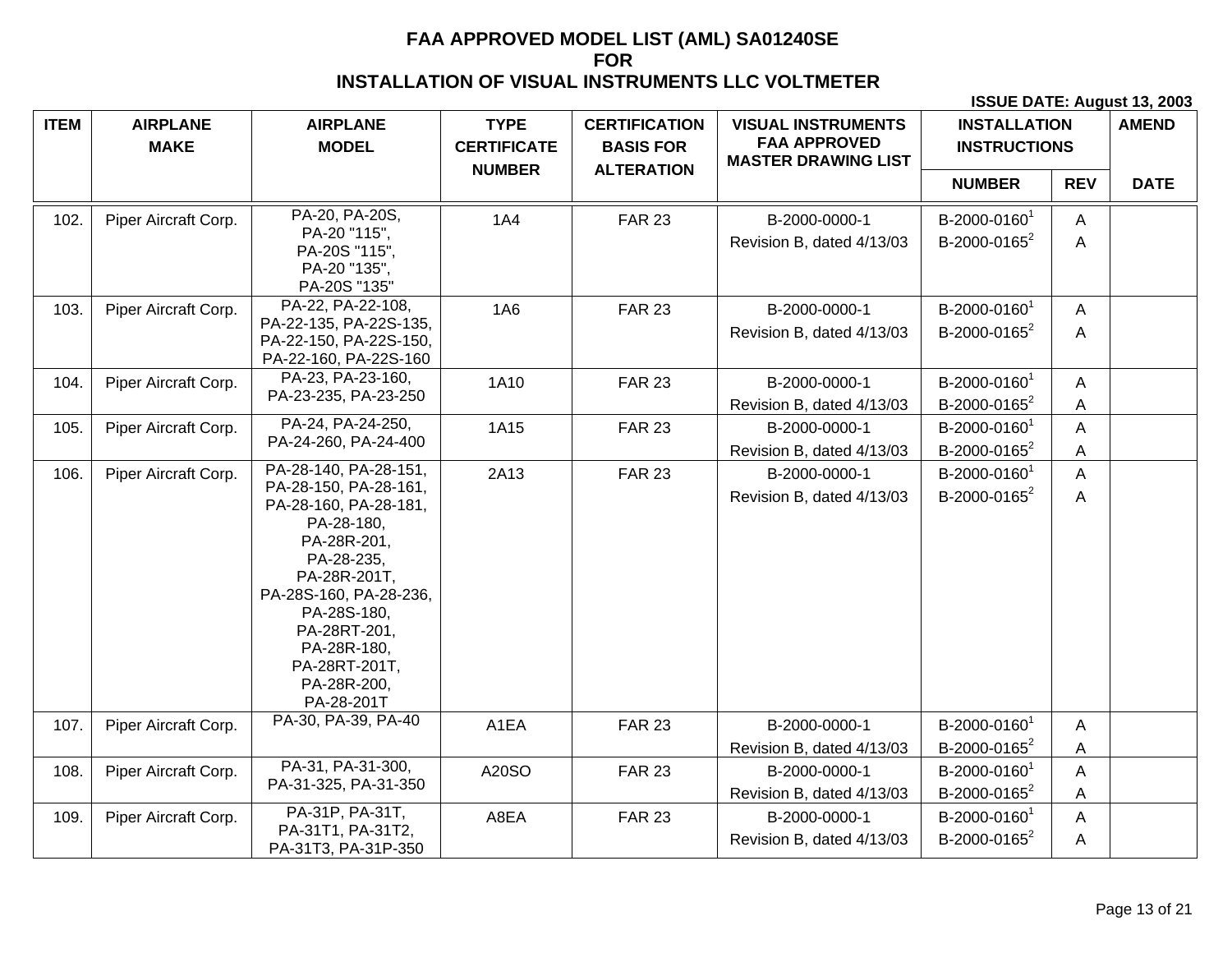| <b>ITEM</b> | <b>AIRPLANE</b><br><b>MAKE</b> | <b>AIRPLANE</b><br><b>MODEL</b>                                                                                                                                                                                                                          | <b>TYPE</b><br><b>CERTIFICATE</b> | <b>CERTIFICATION</b><br><b>BASIS FOR</b><br><b>ALTERATION</b> | <b>VISUAL INSTRUMENTS</b><br><b>FAA APPROVED</b><br><b>MASTER DRAWING LIST</b> | <b>INSTALLATION</b><br><b>INSTRUCTIONS</b>           |            | <b>AMEND</b> |
|-------------|--------------------------------|----------------------------------------------------------------------------------------------------------------------------------------------------------------------------------------------------------------------------------------------------------|-----------------------------------|---------------------------------------------------------------|--------------------------------------------------------------------------------|------------------------------------------------------|------------|--------------|
|             |                                |                                                                                                                                                                                                                                                          | <b>NUMBER</b>                     |                                                               |                                                                                | <b>NUMBER</b>                                        | <b>REV</b> | <b>DATE</b>  |
| 102.        | Piper Aircraft Corp.           | PA-20, PA-20S,<br>PA-20 "115",<br>PA-20S "115",<br>PA-20 "135",<br>PA-20S "135"                                                                                                                                                                          | <b>1A4</b>                        | <b>FAR 23</b>                                                 | B-2000-0000-1<br>Revision B, dated 4/13/03                                     | B-2000-0160 <sup>1</sup><br>B-2000-0165 <sup>2</sup> | A<br>A     |              |
| 103.        | Piper Aircraft Corp.           | PA-22, PA-22-108,<br>PA-22-135, PA-22S-135,<br>PA-22-150, PA-22S-150,<br>PA-22-160, PA-22S-160                                                                                                                                                           | <b>1A6</b>                        | <b>FAR 23</b>                                                 | B-2000-0000-1<br>Revision B, dated 4/13/03                                     | B-2000-0160 <sup>1</sup><br>B-2000-0165 <sup>2</sup> | A<br>A     |              |
| 104.        | Piper Aircraft Corp.           | PA-23, PA-23-160,<br>PA-23-235, PA-23-250                                                                                                                                                                                                                | 1A10                              | <b>FAR 23</b>                                                 | B-2000-0000-1<br>Revision B, dated 4/13/03                                     | B-2000-0160 <sup>1</sup><br>B-2000-0165 <sup>2</sup> | A<br>Α     |              |
| 105.        | Piper Aircraft Corp.           | PA-24, PA-24-250,<br>PA-24-260, PA-24-400                                                                                                                                                                                                                | 1A15                              | <b>FAR 23</b>                                                 | B-2000-0000-1<br>Revision B, dated 4/13/03                                     | B-2000-0160 <sup>1</sup><br>B-2000-0165 <sup>2</sup> | A<br>Α     |              |
| 106.        | Piper Aircraft Corp.           | PA-28-140, PA-28-151,<br>PA-28-150, PA-28-161,<br>PA-28-160, PA-28-181,<br>PA-28-180,<br>PA-28R-201,<br>PA-28-235,<br>PA-28R-201T,<br>PA-28S-160, PA-28-236,<br>PA-28S-180,<br>PA-28RT-201,<br>PA-28R-180,<br>PA-28RT-201T,<br>PA-28R-200,<br>PA-28-201T | 2A13                              | <b>FAR 23</b>                                                 | B-2000-0000-1<br>Revision B, dated 4/13/03                                     | B-2000-0160 <sup>1</sup><br>B-2000-0165 <sup>2</sup> | A<br>A     |              |
| 107.        | Piper Aircraft Corp.           | PA-30, PA-39, PA-40                                                                                                                                                                                                                                      | A1EA                              | <b>FAR 23</b>                                                 | B-2000-0000-1<br>Revision B, dated 4/13/03                                     | B-2000-0160 <sup>1</sup><br>B-2000-0165 <sup>2</sup> | A<br>А     |              |
| 108.        | Piper Aircraft Corp.           | PA-31, PA-31-300,<br>PA-31-325, PA-31-350                                                                                                                                                                                                                | A20SO                             | <b>FAR 23</b>                                                 | B-2000-0000-1<br>Revision B, dated 4/13/03                                     | B-2000-0160 <sup>1</sup><br>B-2000-0165 <sup>2</sup> | Α<br>A     |              |
| 109.        | Piper Aircraft Corp.           | PA-31P, PA-31T,<br>PA-31T1, PA-31T2,<br>PA-31T3, PA-31P-350                                                                                                                                                                                              | A8EA                              | <b>FAR 23</b>                                                 | B-2000-0000-1<br>Revision B, dated 4/13/03                                     | B-2000-0160 <sup>1</sup><br>B-2000-0165 <sup>2</sup> | A<br>A     |              |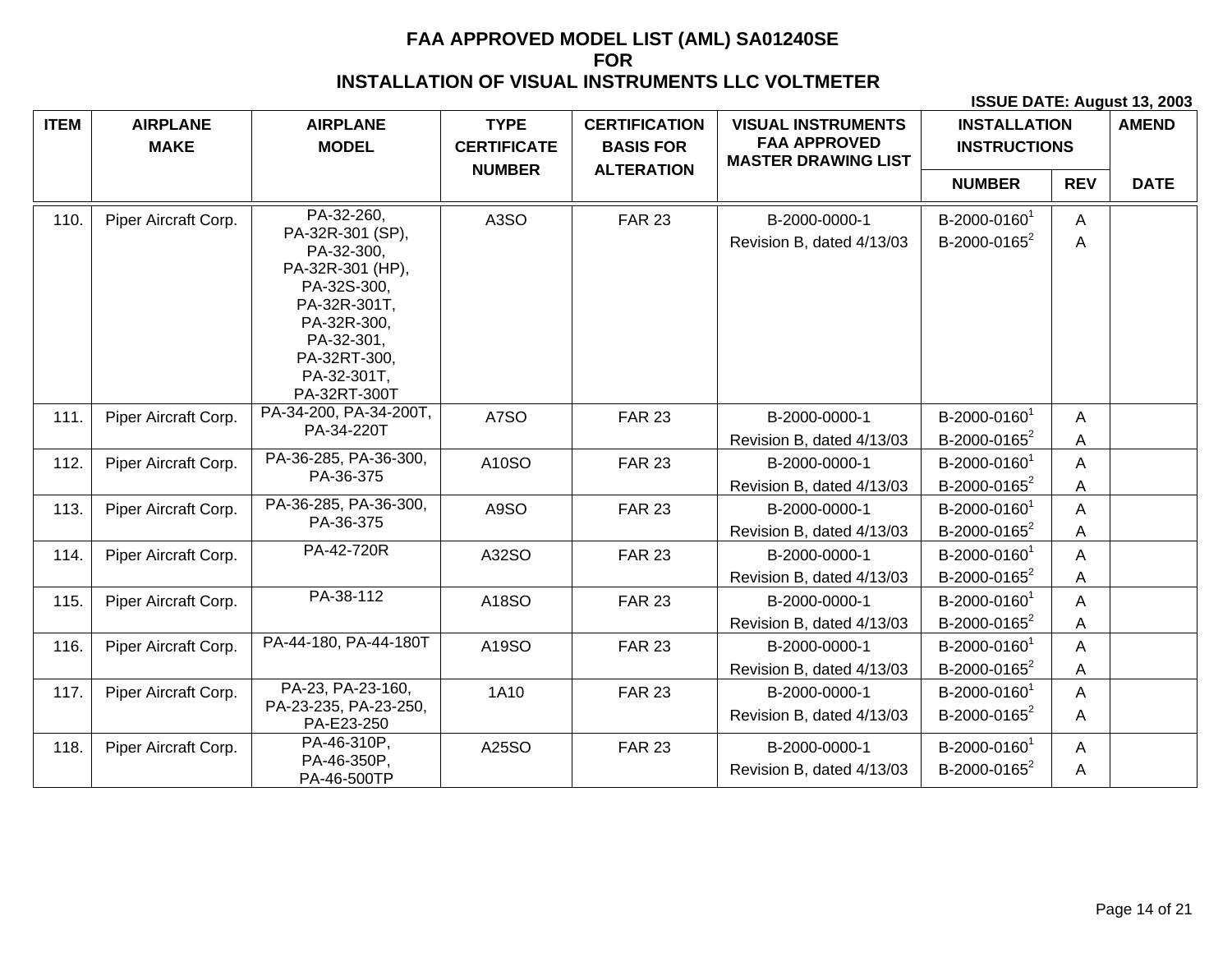| <b>ITEM</b> | <b>AIRPLANE</b>      | <b>AIRPLANE</b>                      | <b>TYPE</b>                         | <b>CERTIFICATION</b>                  | <b>VISUAL INSTRUMENTS</b><br><b>FAA APPROVED</b> | <b>INSTALLATION</b>      |            | <b>AMEND</b> |
|-------------|----------------------|--------------------------------------|-------------------------------------|---------------------------------------|--------------------------------------------------|--------------------------|------------|--------------|
|             | <b>MAKE</b>          | <b>MODEL</b>                         | <b>CERTIFICATE</b><br><b>NUMBER</b> | <b>BASIS FOR</b><br><b>ALTERATION</b> | <b>MASTER DRAWING LIST</b>                       | <b>INSTRUCTIONS</b>      |            |              |
|             |                      |                                      |                                     |                                       |                                                  | <b>NUMBER</b>            | <b>REV</b> | <b>DATE</b>  |
| 110.        | Piper Aircraft Corp. | PA-32-260,                           | A3SO                                | <b>FAR 23</b>                         | B-2000-0000-1                                    | B-2000-0160              | A          |              |
|             |                      | PA-32R-301 (SP),<br>PA-32-300,       |                                     |                                       | Revision B, dated 4/13/03                        | B-2000-0165 $2$          | A          |              |
|             |                      | PA-32R-301 (HP),                     |                                     |                                       |                                                  |                          |            |              |
|             |                      | PA-32S-300,                          |                                     |                                       |                                                  |                          |            |              |
|             |                      | PA-32R-301T,                         |                                     |                                       |                                                  |                          |            |              |
|             |                      | PA-32R-300,<br>PA-32-301,            |                                     |                                       |                                                  |                          |            |              |
|             |                      | PA-32RT-300,                         |                                     |                                       |                                                  |                          |            |              |
|             |                      | PA-32-301T,                          |                                     |                                       |                                                  |                          |            |              |
|             |                      | PA-32RT-300T                         |                                     |                                       |                                                  |                          |            |              |
| 111.        | Piper Aircraft Corp. | PA-34-200, PA-34-200T,<br>PA-34-220T | A7SO                                | <b>FAR 23</b>                         | B-2000-0000-1                                    | B-2000-0160              | Α          |              |
|             |                      |                                      |                                     |                                       | Revision B, dated 4/13/03                        | B-2000-0165 $2$          | Α          |              |
| 112.        | Piper Aircraft Corp. | PA-36-285, PA-36-300,<br>PA-36-375   | A10SO                               | <b>FAR 23</b>                         | B-2000-0000-1                                    | B-2000-0160 <sup>1</sup> | A          |              |
|             |                      |                                      |                                     |                                       | Revision B, dated 4/13/03                        | B-2000-0165 <sup>2</sup> | Α          |              |
| 113.        | Piper Aircraft Corp. | PA-36-285, PA-36-300,<br>PA-36-375   | A9SO                                | <b>FAR 23</b>                         | B-2000-0000-1                                    | B-2000-0160              | A          |              |
|             |                      |                                      |                                     |                                       | Revision B, dated 4/13/03                        | B-2000-0165 $2$          | Α          |              |
| 114.        | Piper Aircraft Corp. | PA-42-720R                           | A32SO                               | <b>FAR 23</b>                         | B-2000-0000-1                                    | B-2000-0160              | A          |              |
|             |                      |                                      |                                     |                                       | Revision B, dated 4/13/03                        | B-2000-0165 <sup>2</sup> | Α          |              |
| 115.        | Piper Aircraft Corp. | PA-38-112                            | A18SO                               | <b>FAR 23</b>                         | B-2000-0000-1                                    | B-2000-0160 <sup>1</sup> | A          |              |
|             |                      |                                      |                                     |                                       | Revision B, dated 4/13/03                        | B-2000-0165 <sup>2</sup> | Α          |              |
| 116.        | Piper Aircraft Corp. | PA-44-180, PA-44-180T                | A19SO                               | <b>FAR 23</b>                         | B-2000-0000-1                                    | B-2000-0160              | Α          |              |
|             |                      |                                      |                                     |                                       | Revision B, dated 4/13/03                        | B-2000-0165 <sup>2</sup> | Α          |              |
| 117.        | Piper Aircraft Corp. | PA-23, PA-23-160,                    | 1A10                                | <b>FAR 23</b>                         | B-2000-0000-1                                    | B-2000-0160 <sup>1</sup> | A          |              |
|             |                      | PA-23-235, PA-23-250,<br>PA-E23-250  |                                     |                                       | Revision B, dated 4/13/03                        | B-2000-0165 <sup>2</sup> | A          |              |
| 118.        | Piper Aircraft Corp. | PA-46-310P,                          | A25SO                               | <b>FAR 23</b>                         | B-2000-0000-1                                    | B-2000-0160 <sup>1</sup> | A          |              |
|             |                      | PA-46-350P,<br>PA-46-500TP           |                                     |                                       | Revision B, dated 4/13/03                        | B-2000-0165 <sup>2</sup> | A          |              |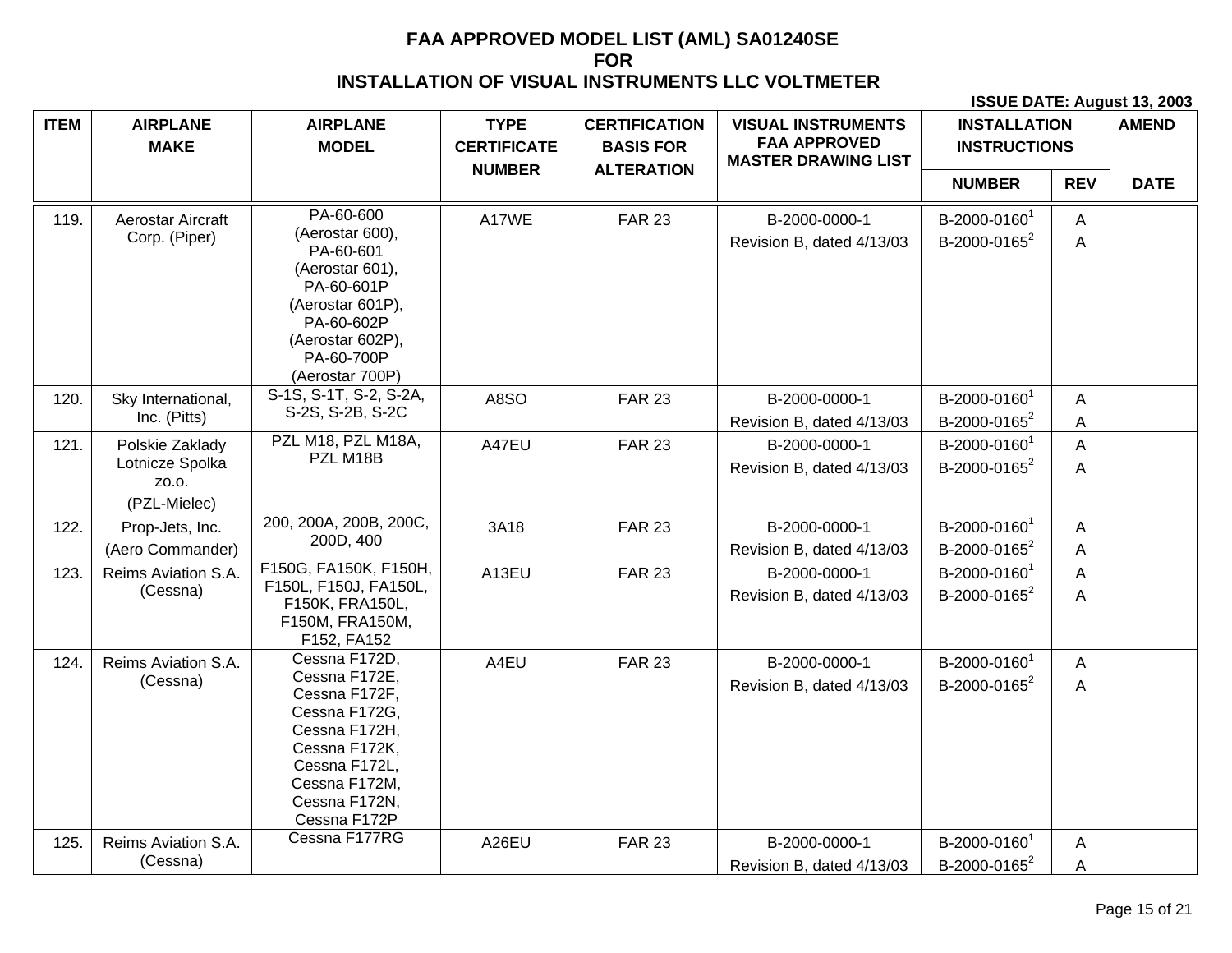| <b>ITEM</b> | <b>AIRPLANE</b><br><b>MAKE</b>                              | <b>AIRPLANE</b><br><b>MODEL</b>                                                                                                                                       | <b>TYPE</b><br><b>CERTIFICATE</b> | <b>CERTIFICATION</b><br><b>BASIS FOR</b> | <b>VISUAL INSTRUMENTS</b><br><b>FAA APPROVED</b><br><b>MASTER DRAWING LIST</b> | <b>INSTALLATION</b><br><b>INSTRUCTIONS</b>           |            | <b>AMEND</b> |
|-------------|-------------------------------------------------------------|-----------------------------------------------------------------------------------------------------------------------------------------------------------------------|-----------------------------------|------------------------------------------|--------------------------------------------------------------------------------|------------------------------------------------------|------------|--------------|
|             |                                                             |                                                                                                                                                                       | <b>NUMBER</b>                     | <b>ALTERATION</b>                        |                                                                                | <b>NUMBER</b>                                        | <b>REV</b> | <b>DATE</b>  |
| 119.        | Aerostar Aircraft<br>Corp. (Piper)                          | PA-60-600<br>(Aerostar 600),<br>PA-60-601                                                                                                                             | A17WE                             | <b>FAR 23</b>                            | B-2000-0000-1<br>Revision B, dated 4/13/03                                     | B-2000-0160 <sup>1</sup><br>B-2000-0165 <sup>2</sup> | A<br>A     |              |
|             |                                                             | (Aerostar 601),<br>PA-60-601P<br>(Aerostar 601P),<br>PA-60-602P<br>(Aerostar 602P),<br>PA-60-700P<br>(Aerostar 700P)                                                  |                                   |                                          |                                                                                |                                                      |            |              |
| 120.        | Sky International,<br>Inc. (Pitts)                          | S-1S, S-1T, S-2, S-2A,<br>S-2S, S-2B, S-2C                                                                                                                            | A8SO                              | <b>FAR 23</b>                            | B-2000-0000-1<br>Revision B, dated 4/13/03                                     | B-2000-0160 <sup>1</sup><br>B-2000-0165 <sup>2</sup> | A<br>A     |              |
| 121.        | Polskie Zaklady<br>Lotnicze Spolka<br>ZO.O.<br>(PZL-Mielec) | PZL M18, PZL M18A,<br>PZL M18B                                                                                                                                        | A47EU                             | <b>FAR 23</b>                            | B-2000-0000-1<br>Revision B, dated 4/13/03                                     | B-2000-0160 <sup>1</sup><br>B-2000-0165 <sup>2</sup> | A<br>Α     |              |
| 122.        | Prop-Jets, Inc.<br>(Aero Commander)                         | 200, 200A, 200B, 200C,<br>200D, 400                                                                                                                                   | 3A18                              | <b>FAR 23</b>                            | B-2000-0000-1<br>Revision B, dated 4/13/03                                     | B-2000-01601<br>B-2000-0165 <sup>2</sup>             | A<br>A     |              |
| 123.        | Reims Aviation S.A.<br>(Cessna)                             | F150G, FA150K, F150H,<br>F150L, F150J, FA150L,<br>F150K, FRA150L,<br>F150M, FRA150M,<br>F152, FA152                                                                   | A13EU                             | <b>FAR 23</b>                            | B-2000-0000-1<br>Revision B, dated 4/13/03                                     | B-2000-0160 <sup>1</sup><br>B-2000-0165 <sup>2</sup> | A<br>Α     |              |
| 124.        | Reims Aviation S.A.<br>(Cessna)                             | Cessna F172D,<br>Cessna F172E,<br>Cessna F172F,<br>Cessna F172G,<br>Cessna F172H,<br>Cessna F172K,<br>Cessna F172L,<br>Cessna F172M,<br>Cessna F172N,<br>Cessna F172P | A4EU                              | <b>FAR 23</b>                            | B-2000-0000-1<br>Revision B, dated 4/13/03                                     | B-2000-0160 <sup>1</sup><br>B-2000-0165 <sup>2</sup> | A<br>A     |              |
| 125.        | Reims Aviation S.A.<br>(Cessna)                             | Cessna F177RG                                                                                                                                                         | A26EU                             | <b>FAR 23</b>                            | B-2000-0000-1<br>Revision B, dated 4/13/03                                     | B-2000-0160 <sup>1</sup><br>B-2000-0165 <sup>2</sup> | A<br>Α     |              |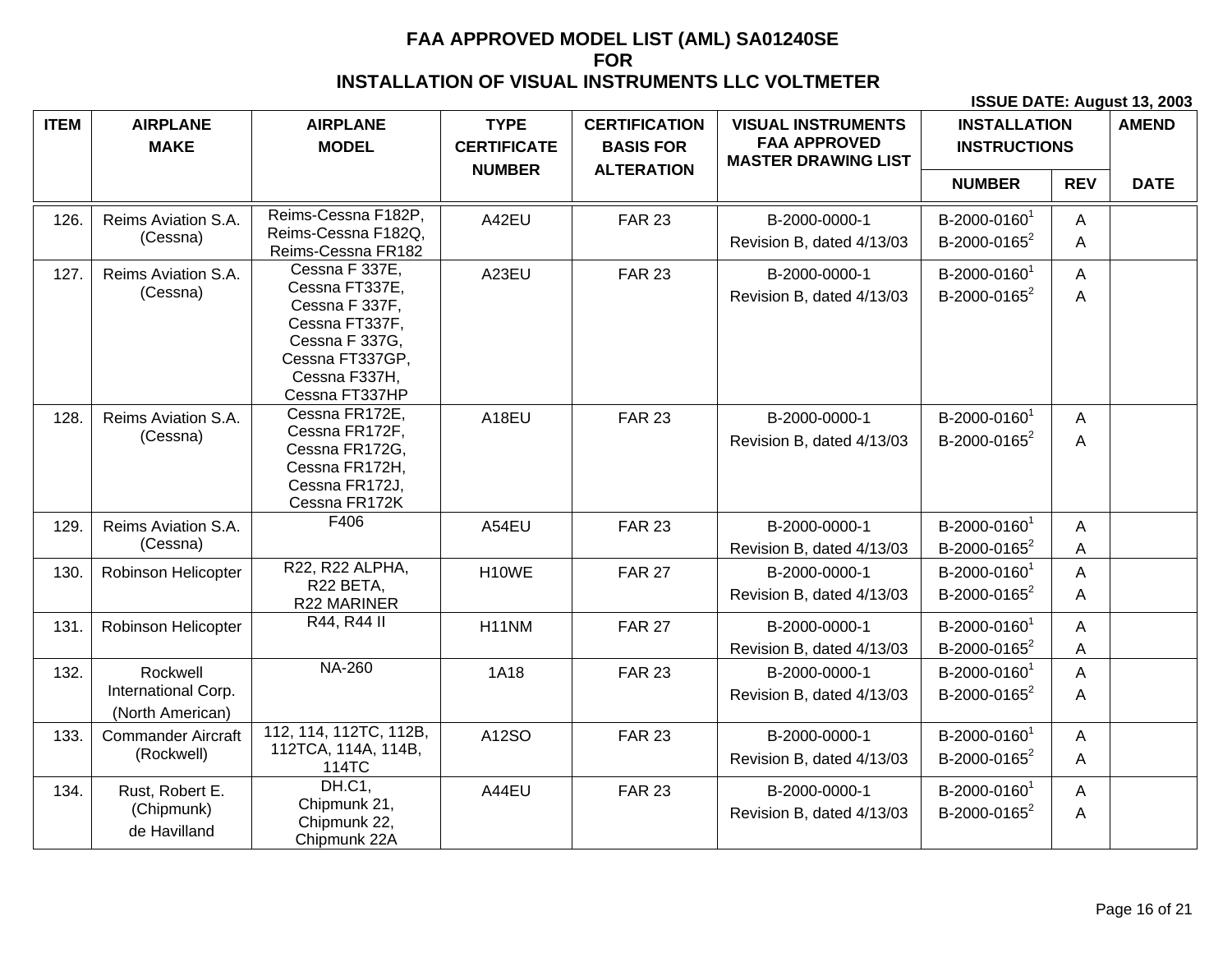| <b>ITEM</b> | <b>AIRPLANE</b><br><b>MAKE</b>                      | <b>AIRPLANE</b><br><b>MODEL</b>                                                                                                              | <b>TYPE</b><br><b>CERTIFICATE</b> | <b>CERTIFICATION</b><br><b>BASIS FOR</b> | <b>VISUAL INSTRUMENTS</b><br><b>FAA APPROVED</b><br><b>MASTER DRAWING LIST</b> | <b>INSTALLATION</b><br><b>INSTRUCTIONS</b>           |            | <b>AMEND</b> |
|-------------|-----------------------------------------------------|----------------------------------------------------------------------------------------------------------------------------------------------|-----------------------------------|------------------------------------------|--------------------------------------------------------------------------------|------------------------------------------------------|------------|--------------|
|             |                                                     |                                                                                                                                              | <b>NUMBER</b>                     | <b>ALTERATION</b>                        |                                                                                | <b>NUMBER</b>                                        | <b>REV</b> | <b>DATE</b>  |
| 126.        | Reims Aviation S.A.<br>(Cessna)                     | Reims-Cessna F182P,<br>Reims-Cessna F182Q,<br>Reims-Cessna FR182                                                                             | A42EU                             | <b>FAR 23</b>                            | B-2000-0000-1<br>Revision B, dated 4/13/03                                     | B-2000-0160 <sup>1</sup><br>B-2000-0165 <sup>2</sup> | A<br>A     |              |
| 127.        | Reims Aviation S.A.<br>(Cessna)                     | Cessna F 337E,<br>Cessna FT337E,<br>Cessna F 337F,<br>Cessna FT337F,<br>Cessna F 337G,<br>Cessna FT337GP,<br>Cessna F337H,<br>Cessna FT337HP | A23EU                             | <b>FAR 23</b>                            | B-2000-0000-1<br>Revision B, dated 4/13/03                                     | B-2000-0160 <sup>1</sup><br>B-2000-0165 <sup>2</sup> | A<br>A     |              |
| 128.        | Reims Aviation S.A.<br>(Cessna)                     | Cessna FR172E,<br>Cessna FR172F,<br>Cessna FR172G,<br>Cessna FR172H,<br>Cessna FR172J,<br>Cessna FR172K                                      | A18EU                             | <b>FAR 23</b>                            | B-2000-0000-1<br>Revision B, dated 4/13/03                                     | B-2000-0160 <sup>1</sup><br>B-2000-0165 <sup>2</sup> | A<br>A     |              |
| 129.        | Reims Aviation S.A.<br>(Cessna)                     | F406                                                                                                                                         | A54EU                             | <b>FAR 23</b>                            | B-2000-0000-1<br>Revision B, dated 4/13/03                                     | B-2000-0160 <sup>1</sup><br>B-2000-0165 <sup>2</sup> | A<br>A     |              |
| 130.        | Robinson Helicopter                                 | R22, R22 ALPHA,<br>R22 BETA,<br>R22 MARINER                                                                                                  | H10WE                             | <b>FAR 27</b>                            | B-2000-0000-1<br>Revision B, dated 4/13/03                                     | B-2000-0160 <sup>1</sup><br>B-2000-0165 <sup>2</sup> | A<br>A     |              |
| 131.        | Robinson Helicopter                                 | R44, R44 II                                                                                                                                  | H <sub>1</sub> 1NM                | <b>FAR 27</b>                            | B-2000-0000-1<br>Revision B, dated 4/13/03                                     | B-2000-0160 <sup>1</sup><br>B-2000-0165 <sup>2</sup> | A<br>A     |              |
| 132.        | Rockwell<br>International Corp.<br>(North American) | <b>NA-260</b>                                                                                                                                | <b>1A18</b>                       | <b>FAR 23</b>                            | B-2000-0000-1<br>Revision B, dated 4/13/03                                     | B-2000-0160 <sup>1</sup><br>B-2000-0165 <sup>2</sup> | A<br>A     |              |
| 133.        | <b>Commander Aircraft</b><br>(Rockwell)             | 112, 114, 112TC, 112B,<br>112TCA, 114A, 114B,<br>114TC                                                                                       | A12SO                             | <b>FAR 23</b>                            | B-2000-0000-1<br>Revision B, dated 4/13/03                                     | B-2000-0160 <sup>1</sup><br>B-2000-0165 <sup>2</sup> | A<br>A     |              |
| 134.        | Rust, Robert E.<br>(Chipmunk)<br>de Havilland       | DH.C1,<br>Chipmunk 21,<br>Chipmunk 22,<br>Chipmunk 22A                                                                                       | A44EU                             | <b>FAR 23</b>                            | B-2000-0000-1<br>Revision B, dated 4/13/03                                     | B-2000-0160 <sup>1</sup><br>B-2000-0165 <sup>2</sup> | A<br>A     |              |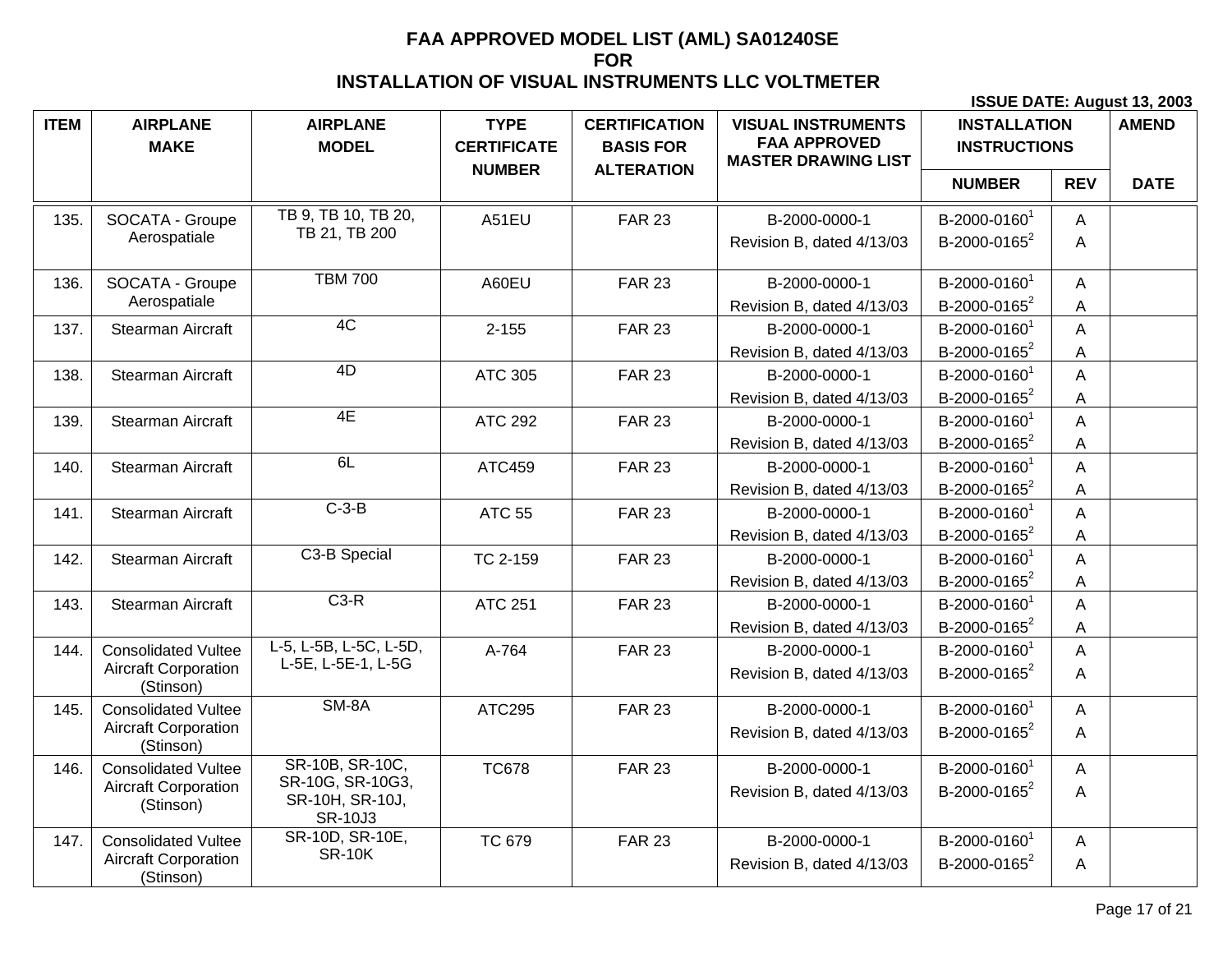| <b>ITEM</b> | <b>AIRPLANE</b><br><b>MAKE</b>           | <b>AIRPLANE</b><br><b>MODEL</b>                       | <b>TYPE</b><br><b>CERTIFICATE</b> | <b>CERTIFICATION</b><br><b>BASIS FOR</b> | <b>VISUAL INSTRUMENTS</b><br><b>FAA APPROVED</b><br><b>MASTER DRAWING LIST</b> | <b>INSTALLATION</b><br><b>INSTRUCTIONS</b> |            | <b>AMEND</b> |
|-------------|------------------------------------------|-------------------------------------------------------|-----------------------------------|------------------------------------------|--------------------------------------------------------------------------------|--------------------------------------------|------------|--------------|
|             |                                          |                                                       | <b>NUMBER</b>                     | <b>ALTERATION</b>                        |                                                                                | <b>NUMBER</b>                              | <b>REV</b> | <b>DATE</b>  |
| 135.        | SOCATA - Groupe                          | TB 9, TB 10, TB 20,                                   | A51EU                             | <b>FAR 23</b>                            | B-2000-0000-1                                                                  | B-2000-0160 <sup>1</sup>                   | A          |              |
|             | Aerospatiale                             | TB 21, TB 200                                         |                                   |                                          | Revision B, dated 4/13/03                                                      | B-2000-0165 <sup>2</sup>                   | A          |              |
| 136.        | SOCATA - Groupe                          | <b>TBM 700</b>                                        | A60EU                             | <b>FAR 23</b>                            | B-2000-0000-1                                                                  | B-2000-0160 <sup>1</sup>                   | A          |              |
|             | Aerospatiale                             |                                                       |                                   |                                          | Revision B, dated 4/13/03                                                      | B-2000-0165 <sup>2</sup>                   | A          |              |
| 137.        | Stearman Aircraft                        | 4C                                                    | $2 - 155$                         | <b>FAR 23</b>                            | B-2000-0000-1                                                                  | B-2000-0160 <sup>1</sup>                   | A          |              |
|             |                                          |                                                       |                                   |                                          | Revision B, dated 4/13/03                                                      | B-2000-0165 <sup>2</sup>                   | A          |              |
| 138.        | Stearman Aircraft                        | 4D                                                    | ATC 305                           | <b>FAR 23</b>                            | B-2000-0000-1                                                                  | B-2000-0160 <sup>1</sup>                   | A          |              |
|             |                                          |                                                       |                                   |                                          | Revision B, dated 4/13/03                                                      | B-2000-0165 <sup>2</sup>                   | Α          |              |
| 139.        | Stearman Aircraft                        | 4E                                                    | <b>ATC 292</b>                    | <b>FAR 23</b>                            | B-2000-0000-1                                                                  | B-2000-01601                               | A          |              |
|             |                                          |                                                       |                                   |                                          | Revision B, dated 4/13/03                                                      | B-2000-0165 <sup>2</sup>                   | A          |              |
| 140.        | Stearman Aircraft                        | 6L                                                    | ATC459                            | <b>FAR 23</b>                            | B-2000-0000-1                                                                  | B-2000-0160 <sup>1</sup>                   | A          |              |
|             |                                          |                                                       |                                   |                                          | Revision B, dated 4/13/03                                                      | B-2000-0165 <sup>2</sup>                   | A          |              |
| 141.        | Stearman Aircraft                        | $C-3-B$                                               | <b>ATC 55</b>                     | <b>FAR 23</b>                            | B-2000-0000-1                                                                  | B-2000-01601                               | A          |              |
|             |                                          |                                                       |                                   |                                          | Revision B, dated 4/13/03                                                      | B-2000-0165 <sup>2</sup>                   | A          |              |
| 142.        | Stearman Aircraft                        | C3-B Special                                          | TC 2-159                          | <b>FAR 23</b>                            | B-2000-0000-1                                                                  | B-2000-01601                               | A          |              |
|             |                                          |                                                       |                                   |                                          | Revision B, dated 4/13/03                                                      | B-2000-0165 <sup>2</sup>                   | A          |              |
| 143.        | Stearman Aircraft                        | $C3-R$                                                | <b>ATC 251</b>                    | <b>FAR 23</b>                            | B-2000-0000-1                                                                  | B-2000-01601                               | A          |              |
|             |                                          |                                                       |                                   |                                          | Revision B, dated 4/13/03                                                      | B-2000-0165 <sup>2</sup>                   | A          |              |
| 144.        | <b>Consolidated Vultee</b>               | L-5, L-5B, L-5C, L-5D,                                | A-764                             | <b>FAR 23</b>                            | B-2000-0000-1                                                                  | B-2000-0160 <sup>1</sup>                   | A          |              |
|             | <b>Aircraft Corporation</b><br>(Stinson) | L-5E, L-5E-1, L-5G                                    |                                   |                                          | Revision B, dated 4/13/03                                                      | B-2000-0165 <sup>2</sup>                   | A          |              |
| 145.        | <b>Consolidated Vultee</b>               | SM-8A                                                 | ATC295                            | <b>FAR 23</b>                            | B-2000-0000-1                                                                  | B-2000-01601                               | A          |              |
|             | <b>Aircraft Corporation</b><br>(Stinson) |                                                       |                                   |                                          | Revision B, dated 4/13/03                                                      | B-2000-0165 <sup>2</sup>                   | A          |              |
| 146.        | <b>Consolidated Vultee</b>               | SR-10B, SR-10C,                                       | <b>TC678</b>                      | <b>FAR 23</b>                            | B-2000-0000-1                                                                  | B-2000-0160 <sup>1</sup>                   | A          |              |
|             | <b>Aircraft Corporation</b><br>(Stinson) | SR-10G, SR-10G3,<br>SR-10H, SR-10J,<br><b>SR-10J3</b> |                                   |                                          | Revision B, dated 4/13/03                                                      | B-2000-0165 <sup>2</sup>                   | A          |              |
| 147.        | <b>Consolidated Vultee</b>               | SR-10D, SR-10E,                                       | <b>TC 679</b>                     | <b>FAR 23</b>                            | B-2000-0000-1                                                                  | B-2000-01601                               | A          |              |
|             | <b>Aircraft Corporation</b><br>(Stinson) | <b>SR-10K</b>                                         |                                   |                                          | Revision B, dated 4/13/03                                                      | B-2000-0165 <sup>2</sup>                   | A          |              |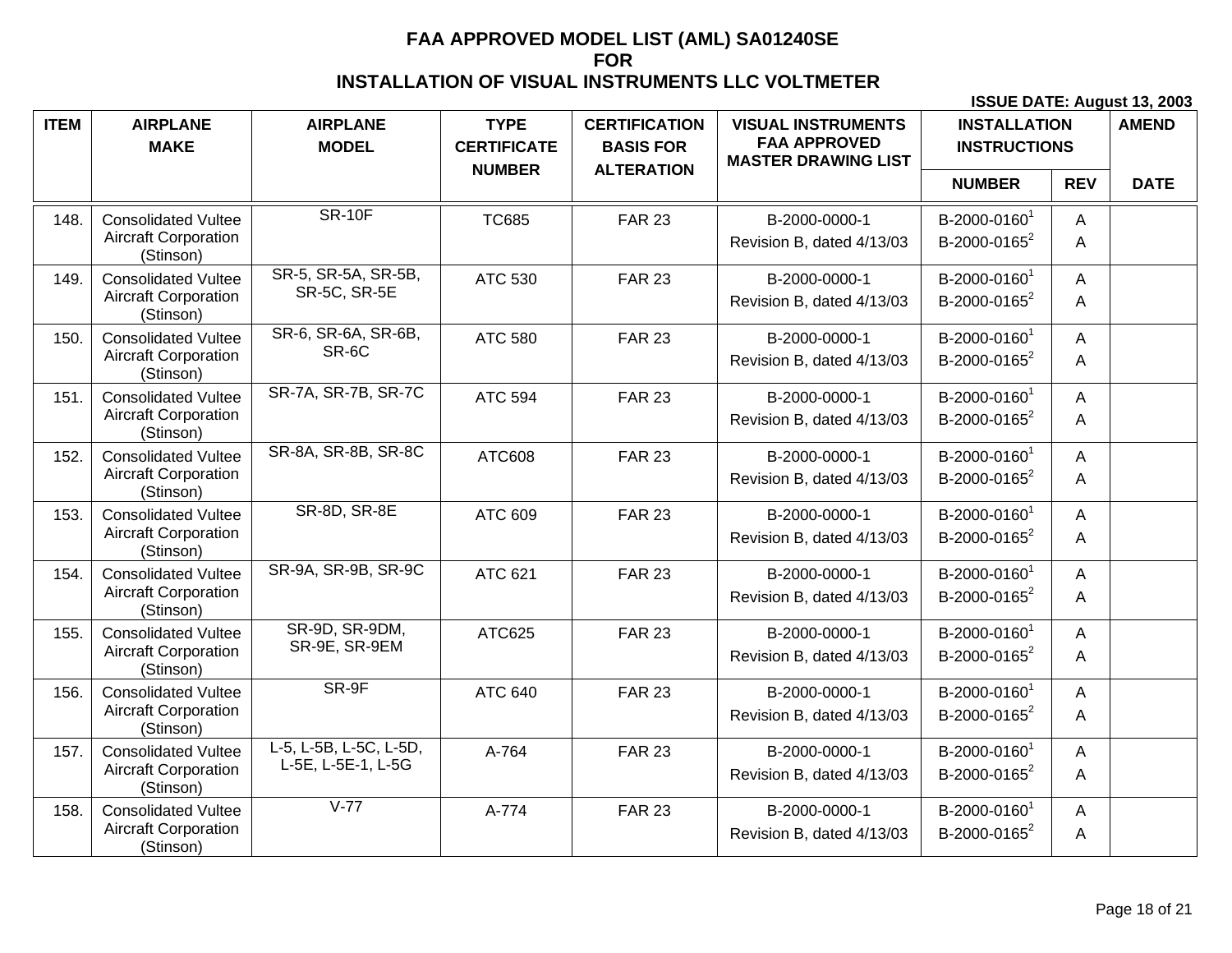| <b>ITEM</b> | <b>AIRPLANE</b><br><b>MAKE</b>                                         | <b>AIRPLANE</b><br><b>MODEL</b>              | <b>TYPE</b><br><b>CERTIFICATE</b> | <b>CERTIFICATION</b><br><b>BASIS FOR</b> | <b>VISUAL INSTRUMENTS</b><br><b>FAA APPROVED</b><br><b>MASTER DRAWING LIST</b> | <b>INSTALLATION</b><br><b>INSTRUCTIONS</b>           |                     | <b>AMEND</b> |
|-------------|------------------------------------------------------------------------|----------------------------------------------|-----------------------------------|------------------------------------------|--------------------------------------------------------------------------------|------------------------------------------------------|---------------------|--------------|
|             |                                                                        |                                              | <b>NUMBER</b>                     | <b>ALTERATION</b>                        |                                                                                | <b>NUMBER</b>                                        | <b>REV</b>          | <b>DATE</b>  |
| 148.        | <b>Consolidated Vultee</b><br><b>Aircraft Corporation</b><br>(Stinson) | <b>SR-10F</b>                                | <b>TC685</b>                      | <b>FAR 23</b>                            | B-2000-0000-1<br>Revision B, dated 4/13/03                                     | B-2000-0160 <sup>1</sup><br>B-2000-0165 <sup>2</sup> | A<br>A              |              |
| 149.        | <b>Consolidated Vultee</b><br><b>Aircraft Corporation</b><br>(Stinson) | SR-5, SR-5A, SR-5B,<br>SR-5C, SR-5E          | ATC 530                           | <b>FAR 23</b>                            | B-2000-0000-1<br>Revision B, dated 4/13/03                                     | B-2000-0160 <sup>1</sup><br>B-2000-0165 <sup>2</sup> | A<br>A              |              |
| 150.        | <b>Consolidated Vultee</b><br><b>Aircraft Corporation</b><br>(Stinson) | SR-6, SR-6A, SR-6B,<br>SR-6C                 | ATC 580                           | <b>FAR 23</b>                            | B-2000-0000-1<br>Revision B, dated 4/13/03                                     | B-2000-0160 <sup>1</sup><br>B-2000-0165 <sup>2</sup> | $\overline{A}$<br>A |              |
| 151.        | <b>Consolidated Vultee</b><br><b>Aircraft Corporation</b><br>(Stinson) | SR-7A, SR-7B, SR-7C                          | <b>ATC 594</b>                    | <b>FAR 23</b>                            | B-2000-0000-1<br>Revision B, dated 4/13/03                                     | B-2000-01601<br>B-2000-0165 <sup>2</sup>             | A<br>A              |              |
| 152.        | <b>Consolidated Vultee</b><br><b>Aircraft Corporation</b><br>(Stinson) | SR-8A, SR-8B, SR-8C                          | ATC608                            | <b>FAR 23</b>                            | B-2000-0000-1<br>Revision B, dated 4/13/03                                     | B-2000-01601<br>B-2000-0165 <sup>2</sup>             | A<br>A              |              |
| 153.        | <b>Consolidated Vultee</b><br><b>Aircraft Corporation</b><br>(Stinson) | SR-8D, SR-8E                                 | ATC 609                           | <b>FAR 23</b>                            | B-2000-0000-1<br>Revision B, dated 4/13/03                                     | B-2000-0160 <sup>1</sup><br>B-2000-0165 <sup>2</sup> | A<br>A              |              |
| 154.        | <b>Consolidated Vultee</b><br><b>Aircraft Corporation</b><br>(Stinson) | SR-9A, SR-9B, SR-9C                          | ATC 621                           | <b>FAR 23</b>                            | B-2000-0000-1<br>Revision B, dated 4/13/03                                     | B-2000-0160 <sup>1</sup><br>B-2000-0165 <sup>2</sup> | A<br>Α              |              |
| 155.        | <b>Consolidated Vultee</b><br><b>Aircraft Corporation</b><br>(Stinson) | SR-9D, SR-9DM,<br>SR-9E, SR-9EM              | ATC625                            | <b>FAR 23</b>                            | B-2000-0000-1<br>Revision B, dated 4/13/03                                     | B-2000-0160 <sup>1</sup><br>B-2000-0165 <sup>2</sup> | A<br>A              |              |
| 156.        | <b>Consolidated Vultee</b><br><b>Aircraft Corporation</b><br>(Stinson) | SR-9F                                        | <b>ATC 640</b>                    | <b>FAR 23</b>                            | B-2000-0000-1<br>Revision B, dated 4/13/03                                     | B-2000-0160 <sup>1</sup><br>B-2000-0165 <sup>2</sup> | A<br>A              |              |
| 157.        | <b>Consolidated Vultee</b><br><b>Aircraft Corporation</b><br>(Stinson) | L-5, L-5B, L-5C, L-5D,<br>L-5E, L-5E-1, L-5G | A-764                             | <b>FAR 23</b>                            | B-2000-0000-1<br>Revision B, dated 4/13/03                                     | B-2000-01601<br>B-2000-0165 <sup>2</sup>             | A<br>A              |              |
| 158.        | <b>Consolidated Vultee</b><br><b>Aircraft Corporation</b><br>(Stinson) | $V-77$                                       | A-774                             | <b>FAR 23</b>                            | B-2000-0000-1<br>Revision B, dated 4/13/03                                     | B-2000-0160 <sup>1</sup><br>B-2000-0165 <sup>2</sup> | A<br>Α              |              |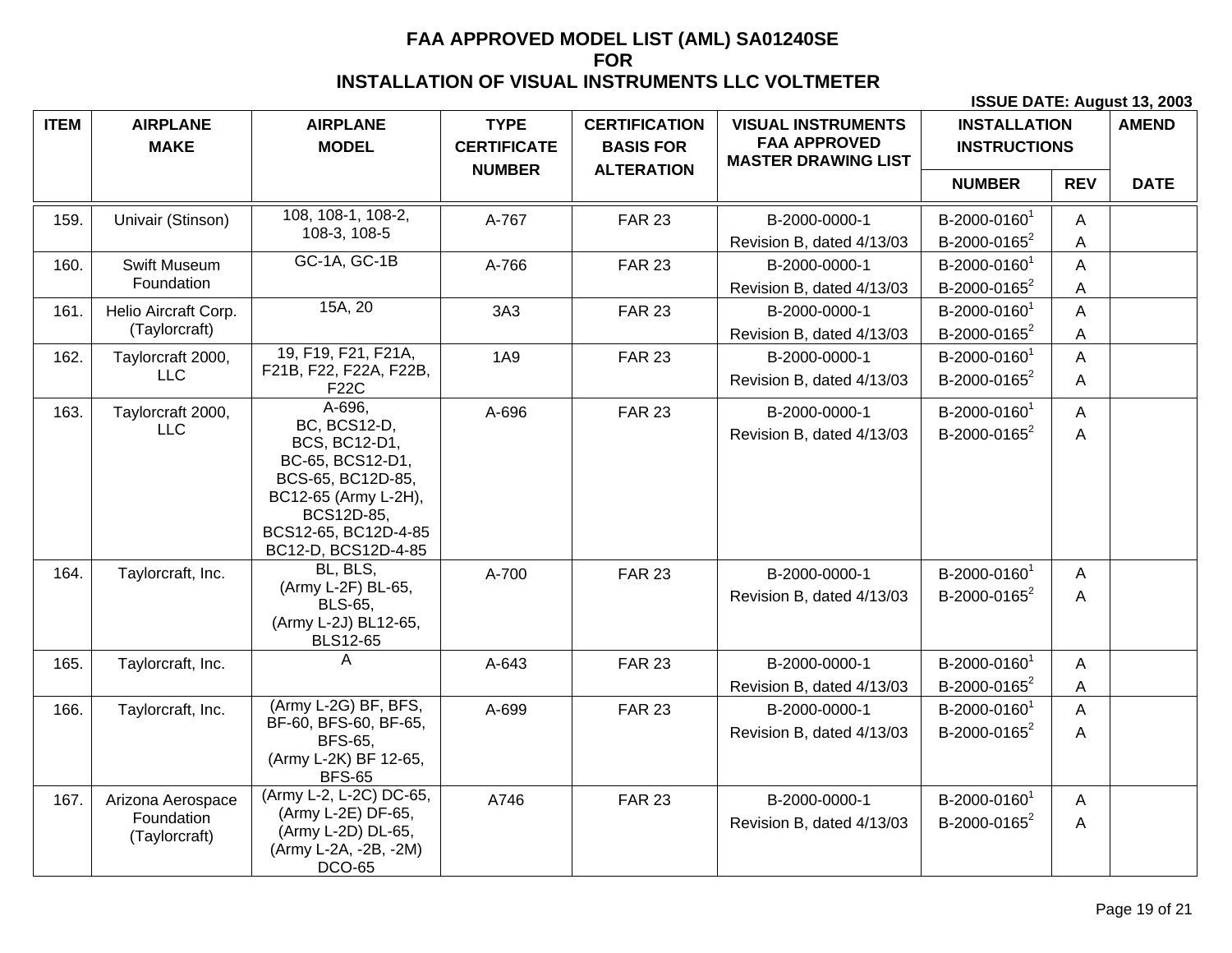| <b>ITEM</b> | <b>AIRPLANE</b><br><b>MAKE</b> | <b>AIRPLANE</b><br><b>MODEL</b>                                                                                                                                    | <b>TYPE</b><br><b>CERTIFICATE</b> | <b>CERTIFICATION</b><br><b>BASIS FOR</b> | <b>VISUAL INSTRUMENTS</b><br><b>FAA APPROVED</b><br><b>MASTER DRAWING LIST</b> | <b>INSTALLATION</b><br><b>INSTRUCTIONS</b>           |             | <b>AMEND</b> |
|-------------|--------------------------------|--------------------------------------------------------------------------------------------------------------------------------------------------------------------|-----------------------------------|------------------------------------------|--------------------------------------------------------------------------------|------------------------------------------------------|-------------|--------------|
|             |                                |                                                                                                                                                                    | <b>NUMBER</b>                     | <b>ALTERATION</b>                        |                                                                                | <b>NUMBER</b>                                        | <b>REV</b>  | <b>DATE</b>  |
| 159.        | Univair (Stinson)              | 108, 108-1, 108-2,<br>108-3, 108-5                                                                                                                                 | A-767                             | <b>FAR 23</b>                            | B-2000-0000-1                                                                  | B-2000-0160 <sup>1</sup><br>B-2000-0165 <sup>2</sup> | A           |              |
| 160.        | Swift Museum                   | GC-1A, GC-1B                                                                                                                                                       | A-766                             | <b>FAR 23</b>                            | Revision B, dated 4/13/03<br>B-2000-0000-1                                     | B-2000-0160 <sup>1</sup>                             | A<br>A      |              |
|             | Foundation                     |                                                                                                                                                                    |                                   |                                          | Revision B, dated 4/13/03                                                      | B-2000-0165 <sup>2</sup>                             | A           |              |
| 161.        | Helio Aircraft Corp.           | 15A, 20                                                                                                                                                            | 3A3                               | <b>FAR 23</b>                            | B-2000-0000-1                                                                  | B-2000-0160 <sup>1</sup>                             | A           |              |
|             | (Taylorcraft)                  |                                                                                                                                                                    |                                   |                                          | Revision B, dated 4/13/03                                                      | B-2000-0165 <sup>2</sup>                             | A           |              |
| 162.        | Taylorcraft 2000,              | 19, F19, F21, F21A,                                                                                                                                                | <b>1A9</b>                        | <b>FAR 23</b>                            | B-2000-0000-1                                                                  | B-2000-0160 <sup>1</sup>                             | $\mathsf A$ |              |
|             | <b>LLC</b>                     | F21B, F22, F22A, F22B,<br>F22C                                                                                                                                     |                                   |                                          | Revision B, dated 4/13/03                                                      | B-2000-0165 <sup>2</sup>                             | A           |              |
| 163.        | Taylorcraft 2000,              | A-696,                                                                                                                                                             | A-696                             | <b>FAR 23</b>                            | B-2000-0000-1                                                                  | B-2000-0160 <sup>1</sup>                             | A           |              |
|             | <b>LLC</b>                     | <b>BC, BCS12-D,</b><br>BCS, BC12-D1,<br>BC-65, BCS12-D1,<br>BCS-65, BC12D-85,<br>BC12-65 (Army L-2H),<br>BCS12D-85,<br>BCS12-65, BC12D-4-85<br>BC12-D, BCS12D-4-85 |                                   |                                          | Revision B, dated 4/13/03                                                      | B-2000-0165 <sup>2</sup>                             | A           |              |
| 164.        | Taylorcraft, Inc.              | BL, BLS,<br>(Army L-2F) BL-65,<br><b>BLS-65,</b><br>(Army L-2J) BL12-65,<br><b>BLS12-65</b>                                                                        | A-700                             | <b>FAR 23</b>                            | B-2000-0000-1<br>Revision B, dated 4/13/03                                     | B-2000-0160 <sup>1</sup><br>B-2000-0165 <sup>2</sup> | A<br>A      |              |
| 165.        | Taylorcraft, Inc.              | Α                                                                                                                                                                  | A-643                             | <b>FAR 23</b>                            | B-2000-0000-1                                                                  | B-2000-0160 <sup>1</sup>                             | A           |              |
|             |                                |                                                                                                                                                                    |                                   |                                          | Revision B, dated 4/13/03                                                      | B-2000-0165 <sup>2</sup>                             | A           |              |
| 166.        | Taylorcraft, Inc.              | (Army L-2G) BF, BFS,                                                                                                                                               | A-699                             | <b>FAR 23</b>                            | B-2000-0000-1                                                                  | B-2000-0160 <sup>1</sup>                             | A           |              |
|             |                                | BF-60, BFS-60, BF-65,<br><b>BFS-65.</b><br>(Army L-2K) BF 12-65,<br><b>BFS-65</b>                                                                                  |                                   |                                          | Revision B, dated 4/13/03                                                      | B-2000-0165 <sup>2</sup>                             | A           |              |
| 167.        | Arizona Aerospace              | (Army L-2, L-2C) DC-65,                                                                                                                                            | A746                              | <b>FAR 23</b>                            | B-2000-0000-1                                                                  | B-2000-0160 <sup>1</sup>                             | A           |              |
|             | Foundation<br>(Taylorcraft)    | (Army L-2E) DF-65,<br>(Army L-2D) DL-65,<br>(Army L-2A, -2B, -2M)<br><b>DCO-65</b>                                                                                 |                                   |                                          | Revision B, dated 4/13/03                                                      | B-2000-0165 <sup>2</sup>                             | A           |              |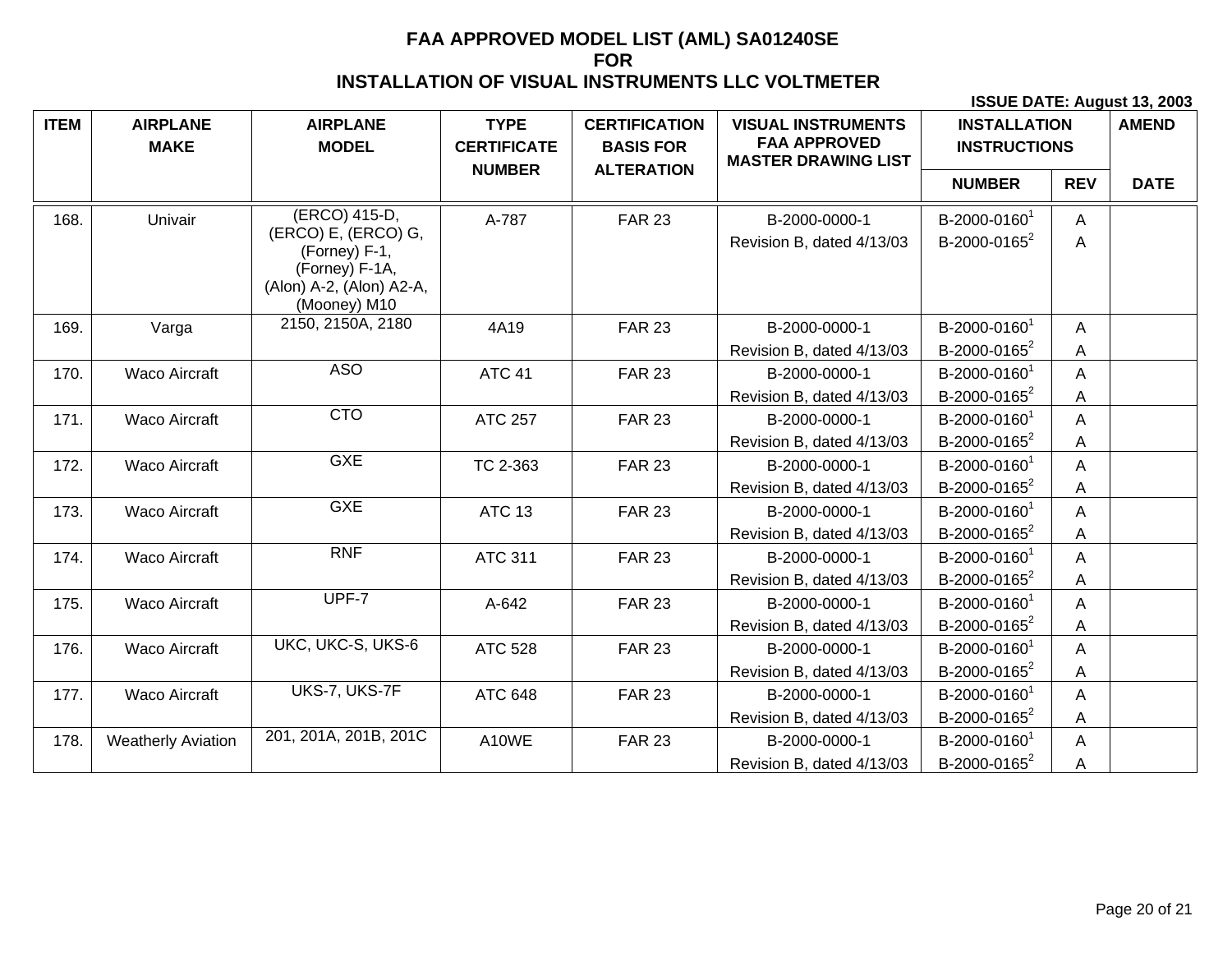| <b>ITEM</b> | <b>AIRPLANE</b><br><b>MAKE</b> | <b>AIRPLANE</b><br><b>MODEL</b>                                                                                     | <b>TYPE</b><br><b>CERTIFICATE</b> | <b>CERTIFICATION</b><br><b>BASIS FOR</b> | <b>VISUAL INSTRUMENTS</b><br><b>FAA APPROVED</b><br><b>MASTER DRAWING LIST</b> | <b>INSTALLATION</b><br><b>INSTRUCTIONS</b>           |            | <b>AMEND</b> |
|-------------|--------------------------------|---------------------------------------------------------------------------------------------------------------------|-----------------------------------|------------------------------------------|--------------------------------------------------------------------------------|------------------------------------------------------|------------|--------------|
|             |                                |                                                                                                                     | <b>NUMBER</b>                     | <b>ALTERATION</b>                        |                                                                                | <b>NUMBER</b>                                        | <b>REV</b> | <b>DATE</b>  |
| 168.        | Univair                        | (ERCO) 415-D,<br>(ERCO) E, (ERCO) G,<br>(Forney) F-1,<br>(Forney) F-1A,<br>(Alon) A-2, (Alon) A2-A,<br>(Mooney) M10 | A-787                             | <b>FAR 23</b>                            | B-2000-0000-1<br>Revision B, dated 4/13/03                                     | B-2000-0160 <sup>1</sup><br>B-2000-0165 <sup>2</sup> | A<br>Α     |              |
| 169.        | Varga                          | 2150, 2150A, 2180                                                                                                   | 4A19                              | <b>FAR 23</b>                            | B-2000-0000-1                                                                  | B-2000-0160 <sup>1</sup>                             | A          |              |
|             |                                |                                                                                                                     |                                   |                                          | Revision B, dated 4/13/03                                                      | B-2000-0165 <sup>2</sup>                             | A          |              |
| 170.        | <b>Waco Aircraft</b>           | <b>ASO</b>                                                                                                          | <b>ATC 41</b>                     | <b>FAR 23</b>                            | B-2000-0000-1                                                                  | B-2000-0160 <sup>1</sup>                             | A          |              |
|             |                                |                                                                                                                     |                                   |                                          | Revision B, dated 4/13/03                                                      | B-2000-0165 $2$                                      | Α          |              |
| 171.        | <b>Waco Aircraft</b>           | <b>CTO</b>                                                                                                          | <b>ATC 257</b>                    | <b>FAR 23</b>                            | B-2000-0000-1                                                                  | B-2000-0160 <sup>1</sup>                             | Α          |              |
|             |                                |                                                                                                                     |                                   |                                          | Revision B, dated 4/13/03                                                      | B-2000-0165 <sup>2</sup>                             | Α          |              |
| 172.        | <b>Waco Aircraft</b>           | <b>GXE</b>                                                                                                          | TC 2-363                          | <b>FAR 23</b>                            | B-2000-0000-1                                                                  | B-2000-0160 <sup>1</sup>                             | A          |              |
|             |                                |                                                                                                                     |                                   |                                          | Revision B, dated 4/13/03                                                      | B-2000-0165 <sup>2</sup>                             | Α          |              |
| 173.        | Waco Aircraft                  | <b>GXE</b>                                                                                                          | <b>ATC 13</b>                     | <b>FAR 23</b>                            | B-2000-0000-1                                                                  | B-2000-0160 <sup>1</sup>                             | A          |              |
|             |                                |                                                                                                                     |                                   |                                          | Revision B, dated 4/13/03                                                      | B-2000-0165 <sup>2</sup>                             | Α          |              |
| 174.        | <b>Waco Aircraft</b>           | <b>RNF</b>                                                                                                          | <b>ATC 311</b>                    | <b>FAR 23</b>                            | B-2000-0000-1                                                                  | B-2000-0160 <sup>1</sup>                             | Α          |              |
|             |                                |                                                                                                                     |                                   |                                          | Revision B, dated 4/13/03                                                      | B-2000-0165 <sup>2</sup>                             | Α          |              |
| 175.        | <b>Waco Aircraft</b>           | UPF-7                                                                                                               | A-642                             | <b>FAR 23</b>                            | B-2000-0000-1                                                                  | B-2000-01601                                         | Α          |              |
|             |                                |                                                                                                                     |                                   |                                          | Revision B, dated 4/13/03                                                      | B-2000-0165 <sup>2</sup>                             | Α          |              |
| 176.        | <b>Waco Aircraft</b>           | UKC, UKC-S, UKS-6                                                                                                   | <b>ATC 528</b>                    | <b>FAR 23</b>                            | B-2000-0000-1                                                                  | B-2000-0160 <sup>1</sup>                             | A          |              |
|             |                                |                                                                                                                     |                                   |                                          | Revision B, dated 4/13/03                                                      | B-2000-0165 $2$                                      | Α          |              |
| 177.        | <b>Waco Aircraft</b>           | UKS-7, UKS-7F                                                                                                       | <b>ATC 648</b>                    | <b>FAR 23</b>                            | B-2000-0000-1                                                                  | B-2000-0160                                          | Α          |              |
|             |                                |                                                                                                                     |                                   |                                          | Revision B, dated 4/13/03                                                      | B-2000-0165 <sup>2</sup>                             | Α          |              |
| 178.        | <b>Weatherly Aviation</b>      | 201, 201A, 201B, 201C                                                                                               | A10WE                             | <b>FAR 23</b>                            | B-2000-0000-1                                                                  | B-2000-0160 <sup>1</sup>                             | A          |              |
|             |                                |                                                                                                                     |                                   |                                          | Revision B, dated 4/13/03                                                      | B-2000-0165 <sup>2</sup>                             | Α          |              |